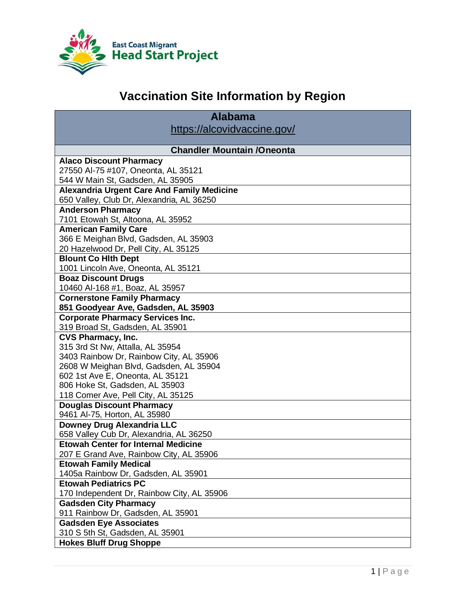

# **Vaccination Site Information by Region**

| <b>Alabama</b>                                    |
|---------------------------------------------------|
| https://alcovidvaccine.gov/                       |
|                                                   |
| <b>Chandler Mountain /Oneonta</b>                 |
| <b>Alaco Discount Pharmacy</b>                    |
| 27550 Al-75 #107, Oneonta, AL 35121               |
| 544 W Main St, Gadsden, AL 35905                  |
| <b>Alexandria Urgent Care And Family Medicine</b> |
| 650 Valley, Club Dr, Alexandria, AL 36250         |
| <b>Anderson Pharmacy</b>                          |
| 7101 Etowah St, Altoona, AL 35952                 |
| <b>American Family Care</b>                       |
| 366 E Meighan Blvd, Gadsden, AL 35903             |
| 20 Hazelwood Dr, Pell City, AL 35125              |
| <b>Blount Co Hith Dept</b>                        |
| 1001 Lincoln Ave, Oneonta, AL 35121               |
| <b>Boaz Discount Drugs</b>                        |
| 10460 Al-168 #1, Boaz, AL 35957                   |
| <b>Cornerstone Family Pharmacy</b>                |
| 851 Goodyear Ave, Gadsden, AL 35903               |
| <b>Corporate Pharmacy Services Inc.</b>           |
| 319 Broad St, Gadsden, AL 35901                   |
| <b>CVS Pharmacy, Inc.</b>                         |
| 315 3rd St Nw, Attalla, AL 35954                  |
| 3403 Rainbow Dr, Rainbow City, AL 35906           |
| 2608 W Meighan Blvd, Gadsden, AL 35904            |
| 602 1st Ave E, Oneonta, AL 35121                  |
| 806 Hoke St, Gadsden, AL 35903                    |
| 118 Comer Ave, Pell City, AL 35125                |
| <b>Douglas Discount Pharmacy</b>                  |
| 9461 Al-75, Horton, AL 35980                      |
| <b>Downey Drug Alexandria LLC</b>                 |
| 658 Valley Cub Dr, Alexandria, AL 36250           |
| <b>Etowah Center for Internal Medicine</b>        |
| 207 E Grand Ave, Rainbow City, AL 35906           |
| <b>Etowah Family Medical</b>                      |
| 1405a Rainbow Dr, Gadsden, AL 35901               |
| <b>Etowah Pediatrics PC</b>                       |
| 170 Independent Dr, Rainbow City, AL 35906        |
| <b>Gadsden City Pharmacy</b>                      |
| 911 Rainbow Dr, Gadsden, AL 35901                 |
| <b>Gadsden Eye Associates</b>                     |
| 310 S 5th St, Gadsden, AL 35901                   |
| <b>Hokes Bluff Drug Shoppe</b>                    |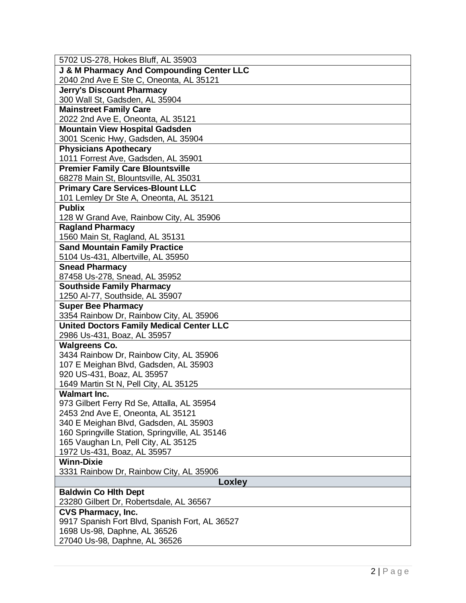| 5702 US-278, Hokes Bluff, AL 35903                                  |
|---------------------------------------------------------------------|
| <b>J &amp; M Pharmacy And Compounding Center LLC</b>                |
| 2040 2nd Ave E Ste C, Oneonta, AL 35121                             |
| <b>Jerry's Discount Pharmacy</b>                                    |
| 300 Wall St, Gadsden, AL 35904                                      |
| <b>Mainstreet Family Care</b>                                       |
| 2022 2nd Ave E, Oneonta, AL 35121                                   |
| <b>Mountain View Hospital Gadsden</b>                               |
| 3001 Scenic Hwy, Gadsden, AL 35904                                  |
| <b>Physicians Apothecary</b>                                        |
| 1011 Forrest Ave, Gadsden, AL 35901                                 |
| <b>Premier Family Care Blountsville</b>                             |
| 68278 Main St, Blountsville, AL 35031                               |
| <b>Primary Care Services-Blount LLC</b>                             |
| 101 Lemley Dr Ste A, Oneonta, AL 35121                              |
| <b>Publix</b>                                                       |
| 128 W Grand Ave, Rainbow City, AL 35906                             |
| <b>Ragland Pharmacy</b>                                             |
| 1560 Main St, Ragland, AL 35131                                     |
| <b>Sand Mountain Family Practice</b>                                |
| 5104 Us-431, Albertville, AL 35950                                  |
| <b>Snead Pharmacy</b>                                               |
| 87458 Us-278, Snead, AL 35952                                       |
| <b>Southside Family Pharmacy</b><br>1250 Al-77, Southside, AL 35907 |
|                                                                     |
|                                                                     |
| <b>Super Bee Pharmacy</b>                                           |
| 3354 Rainbow Dr, Rainbow City, AL 35906                             |
| <b>United Doctors Family Medical Center LLC</b>                     |
| 2986 Us-431, Boaz, AL 35957                                         |
| <b>Walgreens Co.</b>                                                |
| 3434 Rainbow Dr, Rainbow City, AL 35906                             |
| 107 E Meighan Blvd, Gadsden, AL 35903                               |
| 920 US-431, Boaz, AL 35957<br>1649 Martin St N, Pell City, AL 35125 |
| <b>Walmart Inc.</b>                                                 |
| 973 Gilbert Ferry Rd Se, Attalla, AL 35954                          |
| 2453 2nd Ave E, Oneonta, AL 35121                                   |
| 340 E Meighan Blvd, Gadsden, AL 35903                               |
| 160 Springville Station, Springville, AL 35146                      |
| 165 Vaughan Ln, Pell City, AL 35125                                 |
| 1972 Us-431, Boaz, AL 35957                                         |
| <b>Winn-Dixie</b>                                                   |
| 3331 Rainbow Dr, Rainbow City, AL 35906                             |
| Loxley                                                              |
| <b>Baldwin Co Hith Dept</b>                                         |
| 23280 Gilbert Dr, Robertsdale, AL 36567                             |
| <b>CVS Pharmacy, Inc.</b>                                           |
| 9917 Spanish Fort Blvd, Spanish Fort, AL 36527                      |
| 1698 Us-98, Daphne, AL 36526<br>27040 Us-98, Daphne, AL 36526       |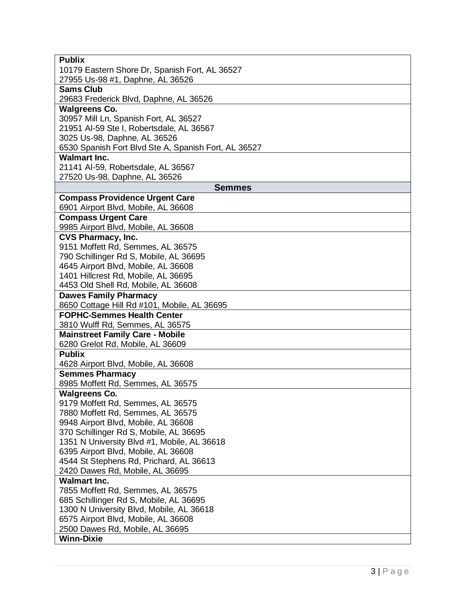| <b>Publix</b>                                                               |
|-----------------------------------------------------------------------------|
| 10179 Eastern Shore Dr, Spanish Fort, AL 36527                              |
| 27955 Us-98 #1, Daphne, AL 36526                                            |
| <b>Sams Club</b>                                                            |
| 29683 Frederick Blvd, Daphne, AL 36526                                      |
| <b>Walgreens Co.</b>                                                        |
| 30957 Mill Ln, Spanish Fort, AL 36527                                       |
| 21951 Al-59 Ste I, Robertsdale, AL 36567                                    |
| 3025 Us-98, Daphne, AL 36526                                                |
| 6530 Spanish Fort Blvd Ste A, Spanish Fort, AL 36527<br><b>Walmart Inc.</b> |
| 21141 Al-59, Robertsdale, AL 36567                                          |
| 27520 Us-98, Daphne, AL 36526                                               |
| <b>Semmes</b>                                                               |
| <b>Compass Providence Urgent Care</b>                                       |
| 6901 Airport Blvd, Mobile, AL 36608                                         |
| <b>Compass Urgent Care</b>                                                  |
| 9985 Airport Blvd, Mobile, AL 36608                                         |
| <b>CVS Pharmacy, Inc.</b>                                                   |
| 9151 Moffett Rd, Semmes, AL 36575                                           |
| 790 Schillinger Rd S, Mobile, AL 36695                                      |
| 4645 Airport Blvd, Mobile, AL 36608                                         |
| 1401 Hillcrest Rd, Mobile, AL 36695                                         |
| 4453 Old Shell Rd, Mobile, AL 36608                                         |
| <b>Dawes Family Pharmacy</b>                                                |
| 8650 Cottage Hill Rd #101, Mobile, AL 36695                                 |
| <b>FOPHC-Semmes Health Center</b>                                           |
| 3810 Wulff Rd, Semmes, AL 36575                                             |
| <b>Mainstreet Family Care - Mobile</b>                                      |
| 6280 Grelot Rd, Mobile, AL 36609                                            |
| <b>Publix</b><br>4628 Airport Blvd, Mobile, AL 36608                        |
| <b>Semmes Pharmacy</b>                                                      |
| 8985 Moffett Rd, Semmes, AL 36575                                           |
| <b>Walgreens Co.</b>                                                        |
| 9179 Moffett Rd, Semmes, AL 36575                                           |
| 7880 Moffett Rd, Semmes, AL 36575                                           |
| 9948 Airport Blvd, Mobile, AL 36608                                         |
| 370 Schillinger Rd S, Mobile, AL 36695                                      |
| 1351 N University Blvd #1, Mobile, AL 36618                                 |
| 6395 Airport Blvd, Mobile, AL 36608                                         |
| 4544 St Stephens Rd, Prichard, AL 36613                                     |
| 2420 Dawes Rd, Mobile, AL 36695                                             |
| <b>Walmart Inc.</b>                                                         |
| 7855 Moffett Rd, Semmes, AL 36575                                           |
| 685 Schillinger Rd S, Mobile, AL 36695                                      |
| 1300 N University Blvd, Mobile, AL 36618                                    |
| 6575 Airport Blvd, Mobile, AL 36608                                         |
| 2500 Dawes Rd, Mobile, AL 36695                                             |
| <b>Winn-Dixie</b>                                                           |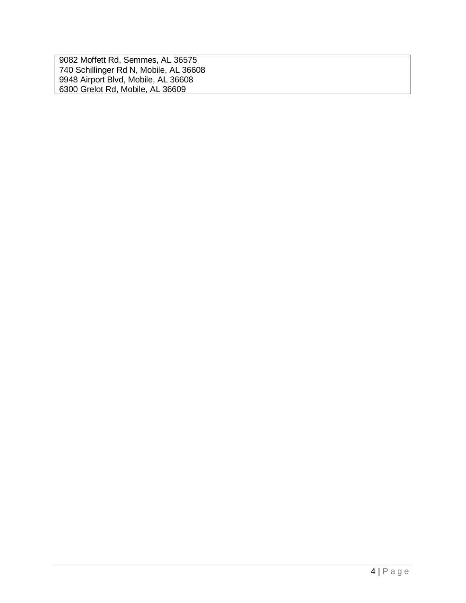9082 Moffett Rd, Semmes, AL 36575 740 Schillinger Rd N, Mobile, AL 36608 9948 Airport Blvd, Mobile, AL 36608 6300 Grelot Rd, Mobile, AL 36609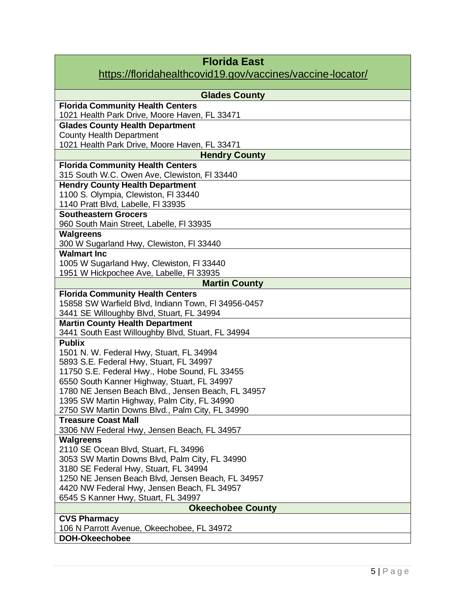#### [https://floridahealthcovid19.gov/vaccines/vaccine-locator/](https://nam11.safelinks.protection.outlook.com/?url=https%3A%2F%2Ffloridahealthcovid19.gov%2Fvaccines%2Fvaccine-locator%2F&data=04%7C01%7Ccmatthews%40ecmhsp.org%7C0996a0ebe3b94f1e124308d9415e6af6%7C690d917a953a4c3c990dfa638d70b916%7C0%7C0%7C637612696039347513%7CUnknown%7CTWFpbGZsb3d8eyJWIjoiMC4wLjAwMDAiLCJQIjoiV2luMzIiLCJBTiI6Ik1haWwiLCJXVCI6Mn0%3D%7C1000&sdata=m1c56A4CYz2%2FMYMGxSbCN4F5PSHy%2Byw0rrZTqM%2BGnZE%3D&reserved=0)

| <b>Glades County</b>                                                                           |
|------------------------------------------------------------------------------------------------|
| <b>Florida Community Health Centers</b>                                                        |
| 1021 Health Park Drive, Moore Haven, FL 33471                                                  |
| <b>Glades County Health Department</b><br><b>County Health Department</b>                      |
| 1021 Health Park Drive, Moore Haven, FL 33471                                                  |
| <b>Hendry County</b>                                                                           |
| <b>Florida Community Health Centers</b>                                                        |
| 315 South W.C. Owen Ave, Clewiston, FI 33440                                                   |
| <b>Hendry County Health Department</b>                                                         |
| 1100 S. Olympia, Clewiston, FI 33440<br>1140 Pratt Blvd, Labelle, FI 33935                     |
| <b>Southeastern Grocers</b>                                                                    |
| 960 South Main Street, Labelle, FI 33935                                                       |
| <b>Walgreens</b>                                                                               |
| 300 W Sugarland Hwy, Clewiston, FI 33440                                                       |
| <b>Walmart Inc.</b>                                                                            |
| 1005 W Sugarland Hwy, Clewiston, FI 33440                                                      |
| 1951 W Hickpochee Ave, Labelle, FI 33935                                                       |
| <b>Martin County</b>                                                                           |
| <b>Florida Community Health Centers</b><br>15858 SW Warfield Blvd, Indiann Town, FI 34956-0457 |
| 3441 SE Willoughby Blvd, Stuart, FL 34994                                                      |
| <b>Martin County Health Department</b>                                                         |
| 3441 South East Willoughby Blvd, Stuart, FL 34994                                              |
| <b>Publix</b>                                                                                  |
| 1501 N. W. Federal Hwy, Stuart, FL 34994                                                       |
| 5893 S.E. Federal Hwy, Stuart, FL 34997                                                        |
| 11750 S.E. Federal Hwy., Hobe Sound, FL 33455                                                  |
| 6550 South Kanner Highway, Stuart, FL 34997                                                    |
| 1780 NE Jensen Beach Blvd., Jensen Beach, FL 34957                                             |
| 1395 SW Martin Highway, Palm City, FL 34990<br>2750 SW Martin Downs Blvd., Palm City, FL 34990 |
| <b>Treasure Coast Mall</b>                                                                     |
| 3306 NW Federal Hwy, Jensen Beach, FL 34957                                                    |
| <b>Walgreens</b>                                                                               |
| 2110 SE Ocean Blvd, Stuart, FL 34996                                                           |
| 3053 SW Martin Downs Blvd, Palm City, FL 34990                                                 |
| 3180 SE Federal Hwy, Stuart, FL 34994                                                          |
| 1250 NE Jensen Beach Blvd, Jensen Beach, FL 34957                                              |
| 4420 NW Federal Hwy, Jensen Beach, FL 34957                                                    |
| 6545 S Kanner Hwy, Stuart, FL 34997                                                            |
| <b>Okeechobee County</b>                                                                       |
| <b>CVS Pharmacy</b><br>106 N Parrott Avenue, Okeechobee, FL 34972                              |
| <b>DOH-Okeechobee</b>                                                                          |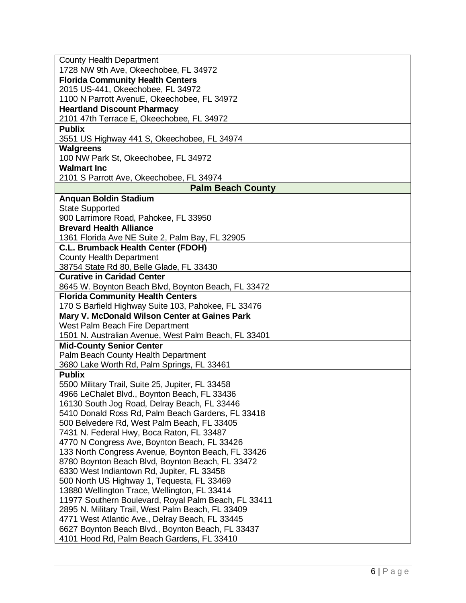| <b>County Health Department</b>                                                                        |
|--------------------------------------------------------------------------------------------------------|
| 1728 NW 9th Ave, Okeechobee, FL 34972                                                                  |
| <b>Florida Community Health Centers</b>                                                                |
| 2015 US-441, Okeechobee, FL 34972                                                                      |
| 1100 N Parrott AvenuE, Okeechobee, FL 34972                                                            |
| <b>Heartland Discount Pharmacy</b>                                                                     |
| 2101 47th Terrace E, Okeechobee, FL 34972                                                              |
| <b>Publix</b>                                                                                          |
| 3551 US Highway 441 S, Okeechobee, FL 34974                                                            |
| <b>Walgreens</b>                                                                                       |
| 100 NW Park St, Okeechobee, FL 34972                                                                   |
| <b>Walmart Inc.</b>                                                                                    |
| 2101 S Parrott Ave, Okeechobee, FL 34974                                                               |
| <b>Palm Beach County</b>                                                                               |
| <b>Anquan Boldin Stadium</b>                                                                           |
| <b>State Supported</b>                                                                                 |
| 900 Larrimore Road, Pahokee, FL 33950                                                                  |
| <b>Brevard Health Alliance</b>                                                                         |
| 1361 Florida Ave NE Suite 2, Palm Bay, FL 32905                                                        |
| C.L. Brumback Health Center (FDOH)                                                                     |
| <b>County Health Department</b>                                                                        |
| 38754 State Rd 80, Belle Glade, FL 33430                                                               |
| <b>Curative in Caridad Center</b>                                                                      |
| 8645 W. Boynton Beach Blvd, Boynton Beach, FL 33472                                                    |
| <b>Florida Community Health Centers</b>                                                                |
| 170 S Barfield Highway Suite 103, Pahokee, FL 33476                                                    |
| Mary V. McDonald Wilson Center at Gaines Park                                                          |
| West Palm Beach Fire Department                                                                        |
| 1501 N. Australian Avenue, West Palm Beach, FL 33401                                                   |
| <b>Mid-County Senior Center</b>                                                                        |
| Palm Beach County Health Department                                                                    |
| 3680 Lake Worth Rd, Palm Springs, FL 33461                                                             |
| <b>Publix</b>                                                                                          |
| 5500 Military Trail, Suite 25, Jupiter, FL 33458                                                       |
| 4966 LeChalet Blvd., Boynton Beach, FL 33436                                                           |
| 16130 South Jog Road, Delray Beach, FL 33446                                                           |
| 5410 Donald Ross Rd, Palm Beach Gardens, FL 33418                                                      |
| 500 Belvedere Rd, West Palm Beach, FL 33405                                                            |
| 7431 N. Federal Hwy, Boca Raton, FL 33487                                                              |
| 4770 N Congress Ave, Boynton Beach, FL 33426                                                           |
| 133 North Congress Avenue, Boynton Beach, FL 33426<br>8780 Boynton Beach Blvd, Boynton Beach, FL 33472 |
| 6330 West Indiantown Rd, Jupiter, FL 33458                                                             |
| 500 North US Highway 1, Tequesta, FL 33469                                                             |
| 13880 Wellington Trace, Wellington, FL 33414                                                           |
| 11977 Southern Boulevard, Royal Palm Beach, FL 33411                                                   |
| 2895 N. Military Trail, West Palm Beach, FL 33409                                                      |
| 4771 West Atlantic Ave., Delray Beach, FL 33445                                                        |
| 6627 Boynton Beach Blvd., Boynton Beach, FL 33437                                                      |
| 4101 Hood Rd, Palm Beach Gardens, FL 33410                                                             |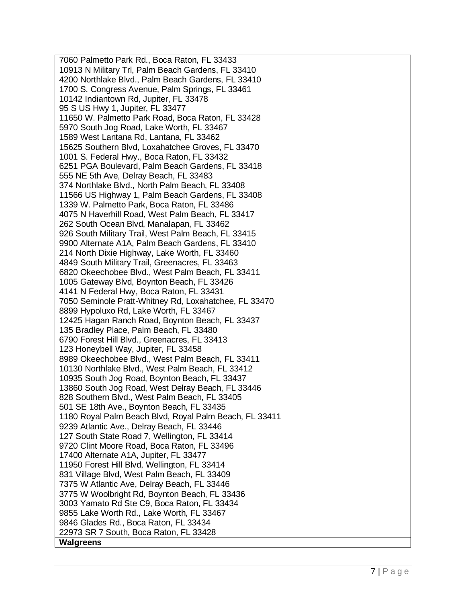7060 Palmetto Park Rd., Boca Raton, FL 33433 10913 N Military Trl, Palm Beach Gardens, FL 33410 4200 Northlake Blvd., Palm Beach Gardens, FL 33410 1700 S. Congress Avenue, Palm Springs, FL 33461 10142 Indiantown Rd, Jupiter, FL 33478 95 S US Hwy 1, Jupiter, FL 33477 11650 W. Palmetto Park Road, Boca Raton, FL 33428 5970 South Jog Road, Lake Worth, FL 33467 1589 West Lantana Rd, Lantana, FL 33462 15625 Southern Blvd, Loxahatchee Groves, FL 33470 1001 S. Federal Hwy., Boca Raton, FL 33432 6251 PGA Boulevard, Palm Beach Gardens, FL 33418 555 NE 5th Ave, Delray Beach, FL 33483 374 Northlake Blvd., North Palm Beach, FL 33408 11566 US Highway 1, Palm Beach Gardens, FL 33408 1339 W. Palmetto Park, Boca Raton, FL 33486 4075 N Haverhill Road, West Palm Beach, FL 33417 262 South Ocean Blvd, Manalapan, FL 33462 926 South Military Trail, West Palm Beach, FL 33415 9900 Alternate A1A, Palm Beach Gardens, FL 33410 214 North Dixie Highway, Lake Worth, FL 33460 4849 South Military Trail, Greenacres, FL 33463 6820 Okeechobee Blvd., West Palm Beach, FL 33411 1005 Gateway Blvd, Boynton Beach, FL 33426 4141 N Federal Hwy, Boca Raton, FL 33431 7050 Seminole Pratt -Whitney Rd, Loxahatchee, FL 33470 8899 Hypoluxo Rd, Lake Worth, FL 33467 12425 Hagan Ranch Road, Boynton Beach, FL 33437 135 Bradley Place, Palm Beach, FL 33480 6790 Forest Hill Blvd., Greenacres, FL 33413 123 Honeybell Way, Jupiter, FL 33458 8989 Okeechobee Blvd., West Palm Beach, FL 33411 10130 Northlake Blvd., West Palm Beach, FL 33412 10935 South Jog Road, Boynton Beach, FL 33437 13860 South Jog Road, West Delray Beach, FL 33446 828 Southern Blvd., West Palm Beach, FL 33405 501 SE 18th Ave., Boynton Beach, FL 33435 1180 Royal Palm Beach Blvd, Royal Palm Beach, FL 33411 9239 Atlantic Ave., Delray Beach, FL 33446 127 South State Road 7, Wellington, FL 33414 9720 Clint Moore Road, Boca Raton, FL 33496 17400 Alternate A1A, Jupiter, FL 33477 11950 Forest Hill Blvd, Wellington, FL 33414 831 Village Blvd, West Palm Beach, FL 33409 7375 W Atlantic Ave, Delray Beach, FL 33446 3775 W Woolbright Rd, Boynton Beach, FL 33436 3003 Yamato Rd Ste C9, Boca Raton, FL 33434 9855 Lake Worth Rd., Lake Worth, FL 33467 9846 Glades Rd., Boca Raton, FL 33434 22973 SR 7 South, Boca Raton, FL 33428 **Walgreens**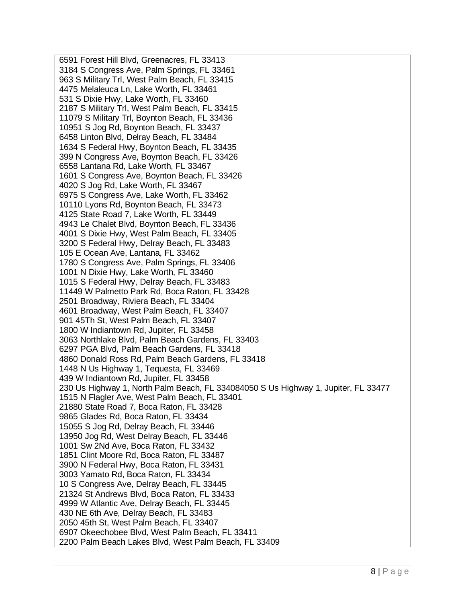6591 Forest Hill Blvd, Greenacres, FL 33413 3184 S Congress Ave, Palm Springs, FL 33461 963 S Military Trl, West Palm Beach, FL 33415 4475 Melaleuca Ln, Lake Worth, FL 33461 531 S Dixie Hwy, Lake Worth, FL 33460 2187 S Military Trl, West Palm Beach, FL 33415 11079 S Military Trl, Boynton Beach, FL 33436 10951 S Jog Rd, Boynton Beach, FL 33437 6458 Linton Blvd, Delray Beach, FL 33484 1634 S Federal Hwy, Boynton Beach, FL 33435 399 N Congress Ave, Boynton Beach, FL 33426 6558 Lantana Rd, Lake Worth, FL 33467 1601 S Congress Ave, Boynton Beach, FL 33426 4020 S Jog Rd, Lake Worth, FL 33467 6975 S Congress Ave, Lake Worth, FL 33462 10110 Lyons Rd, Boynton Beach, FL 33473 4125 State Road 7, Lake Worth, FL 33449 4943 Le Chalet Blvd, Boynton Beach, FL 33436 4001 S Dixie Hwy, West Palm Beach, FL 33405 3200 S Federal Hwy, Delray Beach, FL 33483 105 E Ocean Ave, Lantana, FL 33462 1780 S Congress Ave, Palm Springs, FL 33406 1001 N Dixie Hwy, Lake Worth, FL 33460 1015 S Federal Hwy, Delray Beach, FL 33483 11449 W Palmetto Park Rd, Boca Raton, FL 33428 2501 Broadway, Riviera Beach, FL 33404 4601 Broadway, West Palm Beach, FL 33407 901 45Th St, West Palm Beach, FL 33407 1800 W Indiantown Rd, Jupiter, FL 33458 3063 Northlake Blvd, Palm Beach Gardens, FL 33403 6297 PGA Blvd, Palm Beach Gardens, FL 33418 4860 Donald Ross Rd, Palm Beach Gardens, FL 33418 1448 N Us Highway 1, Tequesta, FL 33469 439 W Indiantown Rd, Jupiter, FL 33458 230 Us Highway 1, North Palm Beach, FL 334084050 S Us Highway 1, Jupiter, FL 33477 1515 N Flagler Ave, West Palm Beach, FL 33401 21880 State Road 7, Boca Raton, FL 33428 9865 Glades Rd, Boca Raton, FL 33434 15055 S Jog Rd, Delray Beach, FL 33446 13950 Jog Rd, West Delray Beach, FL 33446 1001 Sw 2Nd Ave, Boca Raton, FL 33432 1851 Clint Moore Rd, Boca Raton, FL 33487 3900 N Federal Hwy, Boca Raton, FL 33431 3003 Yamato Rd, Boca Raton, FL 33434 10 S Congress Ave, Delray Beach, FL 33445 21324 St Andrews Blvd, Boca Raton, FL 33433 4999 W Atlantic Ave, Delray Beach, FL 33445 430 NE 6th Ave, Delray Beach, FL 33483 2050 45th St, West Palm Beach, FL 33407 6907 Okeechobee Blvd, West Palm Beach, FL 33411 2200 Palm Beach Lakes Blvd, West Palm Beach, FL 33409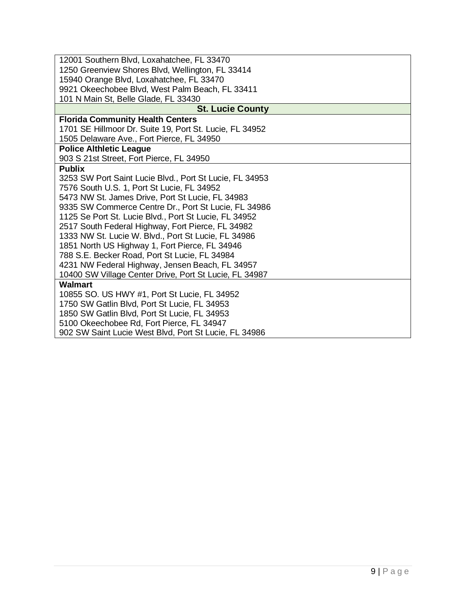| 12001 Southern Blvd, Loxahatchee, FL 33470              |
|---------------------------------------------------------|
| 1250 Greenview Shores Blvd, Wellington, FL 33414        |
| 15940 Orange Blvd, Loxahatchee, FL 33470                |
| 9921 Okeechobee Blvd, West Palm Beach, FL 33411         |
| 101 N Main St, Belle Glade, FL 33430                    |
| <b>St. Lucie County</b>                                 |
| <b>Florida Community Health Centers</b>                 |
| 1701 SE Hillmoor Dr. Suite 19, Port St. Lucie, FL 34952 |
| 1505 Delaware Ave., Fort Pierce, FL 34950               |
| <b>Police Althletic League</b>                          |
| 903 S 21st Street, Fort Pierce, FL 34950                |
| <b>Publix</b>                                           |
| 3253 SW Port Saint Lucie Blvd., Port St Lucie, FL 34953 |
| 7576 South U.S. 1, Port St Lucie, FL 34952              |
| 5473 NW St. James Drive, Port St Lucie, FL 34983        |
| 9335 SW Commerce Centre Dr., Port St Lucie, FL 34986    |
| 1125 Se Port St. Lucie Blvd., Port St Lucie, FL 34952   |
| 2517 South Federal Highway, Fort Pierce, FL 34982       |
| 1333 NW St. Lucie W. Blvd., Port St Lucie, FL 34986     |
| 1851 North US Highway 1, Fort Pierce, FL 34946          |
| 788 S.E. Becker Road, Port St Lucie, FL 34984           |
| 4231 NW Federal Highway, Jensen Beach, FL 34957         |
| 10400 SW Village Center Drive, Port St Lucie, FL 34987  |
| <b>Walmart</b>                                          |
| 10855 SO. US HWY #1, Port St Lucie, FL 34952            |
| 1750 SW Gatlin Blvd, Port St Lucie, FL 34953            |
| 1850 SW Gatlin Blvd, Port St Lucie, FL 34953            |
| 5100 Okeechobee Rd, Fort Pierce, FL 34947               |
| 902 SW Saint Lucie West Blvd, Port St Lucie, FL 34986   |
|                                                         |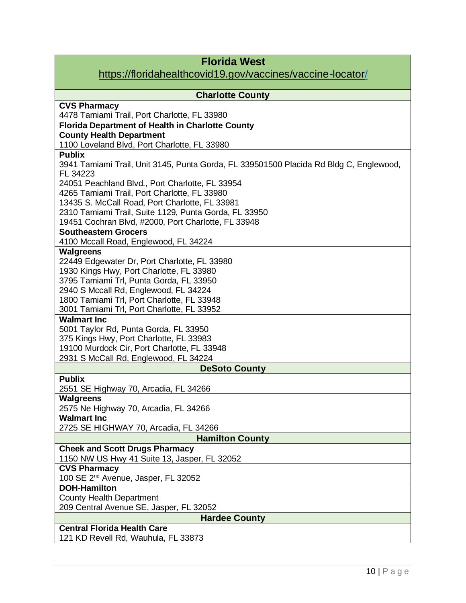| <b>Florida West</b>                                                                                |
|----------------------------------------------------------------------------------------------------|
| https://floridahealthcovid19.gov/vaccines/vaccine-locator/                                         |
| <b>Charlotte County</b>                                                                            |
| <b>CVS Pharmacy</b>                                                                                |
| 4478 Tamiami Trail, Port Charlotte, FL 33980                                                       |
| <b>Florida Department of Health in Charlotte County</b>                                            |
| <b>County Health Department</b>                                                                    |
| 1100 Loveland Blvd, Port Charlotte, FL 33980                                                       |
| <b>Publix</b>                                                                                      |
| 3941 Tamiami Trail, Unit 3145, Punta Gorda, FL 339501500 Placida Rd Bldg C, Englewood,<br>FL 34223 |
| 24051 Peachland Blvd., Port Charlotte, FL 33954                                                    |
| 4265 Tamiami Trail, Port Charlotte, FL 33980                                                       |
| 13435 S. McCall Road, Port Charlotte, FL 33981                                                     |
| 2310 Tamiami Trail, Suite 1129, Punta Gorda, FL 33950                                              |
| 19451 Cochran Blvd, #2000, Port Charlotte, FL 33948                                                |
| <b>Southeastern Grocers</b>                                                                        |
| 4100 Mccall Road, Englewood, FL 34224                                                              |
| Walgreens                                                                                          |
| 22449 Edgewater Dr, Port Charlotte, FL 33980                                                       |
| 1930 Kings Hwy, Port Charlotte, FL 33980                                                           |
| 3795 Tamiami Trl, Punta Gorda, FL 33950                                                            |
| 2940 S Mccall Rd, Englewood, FL 34224                                                              |
| 1800 Tamiami Trl, Port Charlotte, FL 33948                                                         |
| 3001 Tamiami Trl, Port Charlotte, FL 33952                                                         |
| <b>Walmart Inc</b>                                                                                 |
| 5001 Taylor Rd, Punta Gorda, FL 33950<br>375 Kings Hwy, Port Charlotte, FL 33983                   |
| 19100 Murdock Cir, Port Charlotte, FL 33948                                                        |
| 2931 S McCall Rd, Englewood, FL 34224                                                              |
| <b>DeSoto County</b>                                                                               |
| <b>Publix</b>                                                                                      |
| 2551 SE Highway 70, Arcadia, FL 34266                                                              |
| <b>Walgreens</b>                                                                                   |
| 2575 Ne Highway 70, Arcadia, FL 34266                                                              |
| <b>Walmart Inc</b>                                                                                 |
| 2725 SE HIGHWAY 70, Arcadia, FL 34266                                                              |
| <b>Hamilton County</b>                                                                             |
| <b>Cheek and Scott Drugs Pharmacy</b>                                                              |
| 1150 NW US Hwy 41 Suite 13, Jasper, FL 32052                                                       |
| <b>CVS Pharmacy</b>                                                                                |
| 100 SE 2 <sup>nd</sup> Avenue, Jasper, FL 32052                                                    |
| <b>DOH-Hamilton</b>                                                                                |
| <b>County Health Department</b><br>209 Central Avenue SE, Jasper, FL 32052                         |
| <b>Hardee County</b>                                                                               |
| <b>Central Florida Health Care</b>                                                                 |
| 121 KD Revell Rd, Wauhula, FL 33873                                                                |
|                                                                                                    |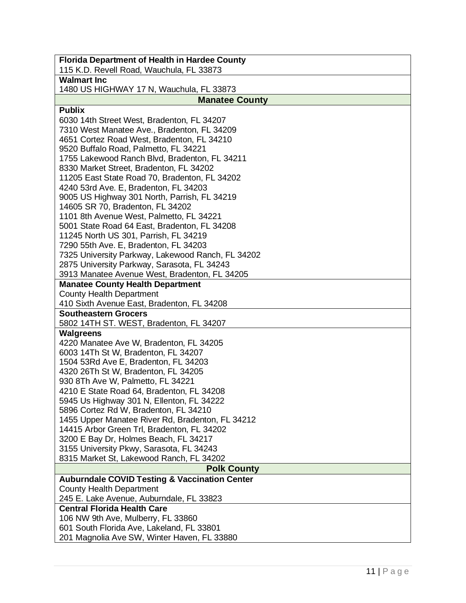| <b>Florida Department of Health in Hardee County</b>                                             |
|--------------------------------------------------------------------------------------------------|
| 115 K.D. Revell Road, Wauchula, FL 33873                                                         |
| <b>Walmart Inc</b>                                                                               |
| 1480 US HIGHWAY 17 N, Wauchula, FL 33873                                                         |
| <b>Manatee County</b>                                                                            |
| <b>Publix</b>                                                                                    |
| 6030 14th Street West, Bradenton, FL 34207                                                       |
| 7310 West Manatee Ave., Bradenton, FL 34209                                                      |
| 4651 Cortez Road West, Bradenton, FL 34210                                                       |
| 9520 Buffalo Road, Palmetto, FL 34221                                                            |
| 1755 Lakewood Ranch Blvd, Bradenton, FL 34211                                                    |
| 8330 Market Street, Bradenton, FL 34202                                                          |
| 11205 East State Road 70, Bradenton, FL 34202                                                    |
| 4240 53rd Ave. E, Bradenton, FL 34203                                                            |
| 9005 US Highway 301 North, Parrish, FL 34219                                                     |
| 14605 SR 70, Bradenton, FL 34202                                                                 |
| 1101 8th Avenue West, Palmetto, FL 34221                                                         |
| 5001 State Road 64 East, Bradenton, FL 34208                                                     |
| 11245 North US 301, Parrish, FL 34219                                                            |
| 7290 55th Ave. E, Bradenton, FL 34203                                                            |
| 7325 University Parkway, Lakewood Ranch, FL 34202<br>2875 University Parkway, Sarasota, FL 34243 |
|                                                                                                  |
| 3913 Manatee Avenue West, Bradenton, FL 34205                                                    |
| <b>Manatee County Health Department</b><br><b>County Health Department</b>                       |
| 410 Sixth Avenue East, Bradenton, FL 34208                                                       |
| <b>Southeastern Grocers</b>                                                                      |
| 5802 14TH ST. WEST, Bradenton, FL 34207                                                          |
| <b>Walgreens</b>                                                                                 |
| 4220 Manatee Ave W, Bradenton, FL 34205                                                          |
| 6003 14Th St W, Bradenton, FL 34207                                                              |
| 1504 53Rd Ave E, Bradenton, FL 34203                                                             |
| 4320 26Th St W, Bradenton, FL 34205                                                              |
| 930 8Th Ave W, Palmetto, FL 34221                                                                |
| 4210 E State Road 64, Bradenton, FL 34208                                                        |
| 5945 Us Highway 301 N, Ellenton, FL 34222                                                        |
| 5896 Cortez Rd W, Bradenton, FL 34210                                                            |
| 1455 Upper Manatee River Rd, Bradenton, FL 34212                                                 |
| 14415 Arbor Green Trl, Bradenton, FL 34202                                                       |
| 3200 E Bay Dr, Holmes Beach, FL 34217                                                            |
| 3155 University Pkwy, Sarasota, FL 34243                                                         |
| 8315 Market St, Lakewood Ranch, FL 34202                                                         |
| <b>Polk County</b>                                                                               |
| <b>Auburndale COVID Testing &amp; Vaccination Center</b>                                         |
| <b>County Health Department</b>                                                                  |
| 245 E. Lake Avenue, Auburndale, FL 33823                                                         |
| <b>Central Florida Health Care</b>                                                               |
| 106 NW 9th Ave, Mulberry, FL 33860                                                               |
| 601 South Florida Ave, Lakeland, FL 33801                                                        |
| 201 Magnolia Ave SW, Winter Haven, FL 33880                                                      |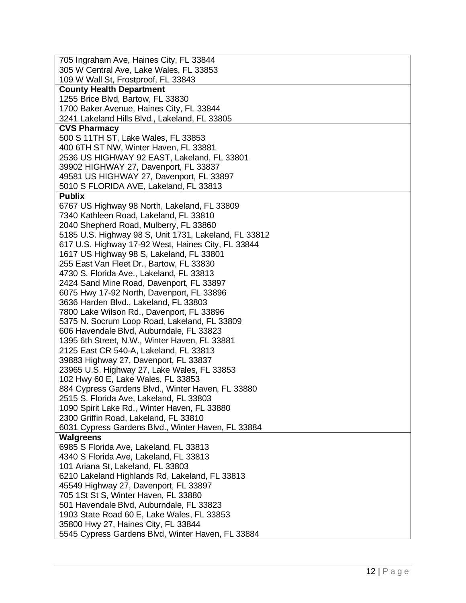| 705 Ingraham Ave, Haines City, FL 33844                                                   |
|-------------------------------------------------------------------------------------------|
| 305 W Central Ave, Lake Wales, FL 33853                                                   |
| 109 W Wall St, Frostproof, FL 33843                                                       |
| <b>County Health Department</b>                                                           |
| 1255 Brice Blvd, Bartow, FL 33830                                                         |
| 1700 Baker Avenue, Haines City, FL 33844                                                  |
| 3241 Lakeland Hills Blvd., Lakeland, FL 33805                                             |
| <b>CVS Pharmacy</b>                                                                       |
| 500 S 11TH ST, Lake Wales, FL 33853                                                       |
| 400 6TH ST NW, Winter Haven, FL 33881<br>2536 US HIGHWAY 92 EAST, Lakeland, FL 33801      |
| 39902 HIGHWAY 27, Davenport, FL 33837                                                     |
| 49581 US HIGHWAY 27, Davenport, FL 33897                                                  |
| 5010 S FLORIDA AVE, Lakeland, FL 33813                                                    |
| <b>Publix</b>                                                                             |
| 6767 US Highway 98 North, Lakeland, FL 33809                                              |
| 7340 Kathleen Road, Lakeland, FL 33810                                                    |
| 2040 Shepherd Road, Mulberry, FL 33860                                                    |
| 5185 U.S. Highway 98 S, Unit 1731, Lakeland, FL 33812                                     |
| 617 U.S. Highway 17-92 West, Haines City, FL 33844                                        |
| 1617 US Highway 98 S, Lakeland, FL 33801                                                  |
| 255 East Van Fleet Dr., Bartow, FL 33830                                                  |
| 4730 S. Florida Ave., Lakeland, FL 33813                                                  |
| 2424 Sand Mine Road, Davenport, FL 33897                                                  |
| 6075 Hwy 17-92 North, Davenport, FL 33896                                                 |
| 3636 Harden Blvd., Lakeland, FL 33803                                                     |
| 7800 Lake Wilson Rd., Davenport, FL 33896                                                 |
| 5375 N. Socrum Loop Road, Lakeland, FL 33809                                              |
| 606 Havendale Blvd, Auburndale, FL 33823<br>1395 6th Street, N.W., Winter Haven, FL 33881 |
| 2125 East CR 540-A, Lakeland, FL 33813                                                    |
| 39883 Highway 27, Davenport, FL 33837                                                     |
| 23965 U.S. Highway 27, Lake Wales, FL 33853                                               |
| 102 Hwy 60 E, Lake Wales, FL 33853                                                        |
| 884 Cypress Gardens Blvd., Winter Haven, FL 33880                                         |
| 2515 S. Florida Ave, Lakeland, FL 33803                                                   |
| 1090 Spirit Lake Rd., Winter Haven, FL 33880                                              |
| 2300 Griffin Road, Lakeland, FL 33810                                                     |
| 6031 Cypress Gardens Blvd., Winter Haven, FL 33884                                        |
| <b>Walgreens</b>                                                                          |
| 6985 S Florida Ave, Lakeland, FL 33813                                                    |
| 4340 S Florida Ave, Lakeland, FL 33813                                                    |
| 101 Ariana St, Lakeland, FL 33803                                                         |
| 6210 Lakeland Highlands Rd, Lakeland, FL 33813                                            |
| 45549 Highway 27, Davenport, FL 33897                                                     |
| 705 1St St S, Winter Haven, FL 33880<br>501 Havendale Blvd, Auburndale, FL 33823          |
| 1903 State Road 60 E, Lake Wales, FL 33853                                                |
| 35800 Hwy 27, Haines City, FL 33844                                                       |
| 5545 Cypress Gardens Blvd, Winter Haven, FL 33884                                         |
|                                                                                           |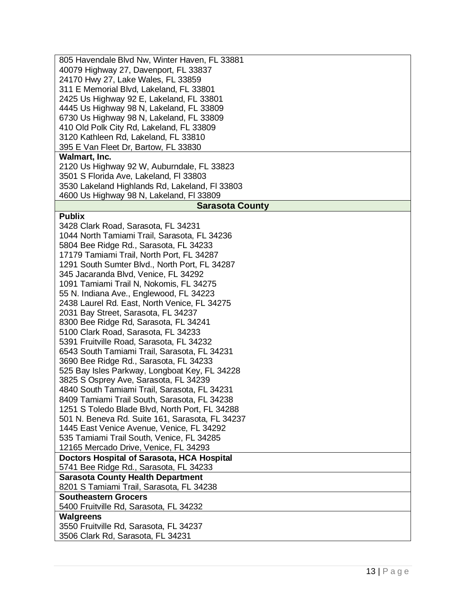| 805 Havendale Blvd Nw, Winter Haven, FL 33881                                            |
|------------------------------------------------------------------------------------------|
| 40079 Highway 27, Davenport, FL 33837                                                    |
| 24170 Hwy 27, Lake Wales, FL 33859                                                       |
| 311 E Memorial Blvd, Lakeland, FL 33801                                                  |
| 2425 Us Highway 92 E, Lakeland, FL 33801                                                 |
| 4445 Us Highway 98 N, Lakeland, FL 33809                                                 |
| 6730 Us Highway 98 N, Lakeland, FL 33809                                                 |
| 410 Old Polk City Rd, Lakeland, FL 33809                                                 |
| 3120 Kathleen Rd, Lakeland, FL 33810                                                     |
| 395 E Van Fleet Dr, Bartow, FL 33830                                                     |
| Walmart, Inc.                                                                            |
| 2120 Us Highway 92 W, Auburndale, FL 33823                                               |
| 3501 S Florida Ave, Lakeland, FI 33803                                                   |
| 3530 Lakeland Highlands Rd, Lakeland, FI 33803                                           |
| 4600 Us Highway 98 N, Lakeland, FI 33809                                                 |
| <b>Sarasota County</b>                                                                   |
| <b>Publix</b>                                                                            |
| 3428 Clark Road, Sarasota, FL 34231                                                      |
| 1044 North Tamiami Trail, Sarasota, FL 34236                                             |
| 5804 Bee Ridge Rd., Sarasota, FL 34233                                                   |
| 17179 Tamiami Trail, North Port, FL 34287                                                |
| 1291 South Sumter Blvd., North Port, FL 34287                                            |
| 345 Jacaranda Blvd, Venice, FL 34292                                                     |
| 1091 Tamiami Trail N, Nokomis, FL 34275                                                  |
| 55 N. Indiana Ave., Englewood, FL 34223                                                  |
| 2438 Laurel Rd. East, North Venice, FL 34275                                             |
| 2031 Bay Street, Sarasota, FL 34237                                                      |
| 8300 Bee Ridge Rd, Sarasota, FL 34241                                                    |
| 5100 Clark Road, Sarasota, FL 34233                                                      |
| 5391 Fruitville Road, Sarasota, FL 34232<br>6543 South Tamiami Trail, Sarasota, FL 34231 |
| 3690 Bee Ridge Rd., Sarasota, FL 34233                                                   |
| 525 Bay Isles Parkway, Longboat Key, FL 34228                                            |
| 3825 S Osprey Ave, Sarasota, FL 34239                                                    |
| 4840 South Tamiami Trail, Sarasota, FL 34231                                             |
| 8409 Tamiami Trail South, Sarasota, FL 34238                                             |
| 1251 S Toledo Blade Blvd, North Port, FL 34288                                           |
| 501 N. Beneva Rd. Suite 161, Sarasota, FL 34237                                          |
| 1445 East Venice Avenue, Venice, FL 34292                                                |
| 535 Tamiami Trail South, Venice, FL 34285                                                |
| 12165 Mercado Drive, Venice, FL 34293                                                    |
| Doctors Hospital of Sarasota, HCA Hospital                                               |
| 5741 Bee Ridge Rd., Sarasota, FL 34233                                                   |
| <b>Sarasota County Health Department</b>                                                 |
| 8201 S Tamiami Trail, Sarasota, FL 34238                                                 |
| <b>Southeastern Grocers</b>                                                              |
| 5400 Fruitville Rd, Sarasota, FL 34232                                                   |
| <b>Walgreens</b>                                                                         |
| 3550 Fruitville Rd, Sarasota, FL 34237                                                   |
| 3506 Clark Rd, Sarasota, FL 34231                                                        |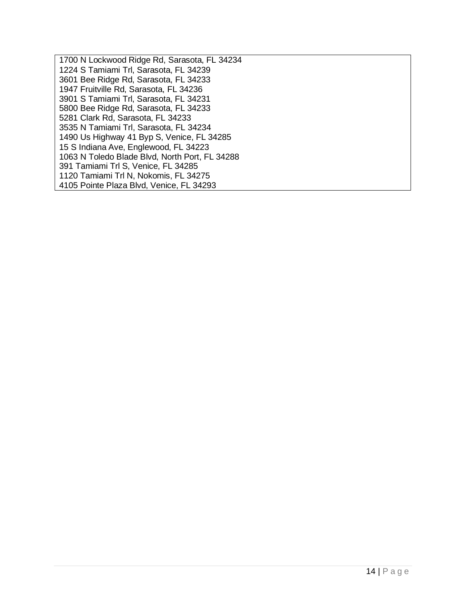| 1700 N Lockwood Ridge Rd, Sarasota, FL 34234   |
|------------------------------------------------|
| 1224 S Tamiami Trl, Sarasota, FL 34239         |
| 3601 Bee Ridge Rd, Sarasota, FL 34233          |
| 1947 Fruitville Rd, Sarasota, FL 34236         |
| 3901 S Tamiami Trl, Sarasota, FL 34231         |
| 5800 Bee Ridge Rd, Sarasota, FL 34233          |
| 5281 Clark Rd, Sarasota, FL 34233              |
| 3535 N Tamiami Trl, Sarasota, FL 34234         |
| 1490 Us Highway 41 Byp S, Venice, FL 34285     |
| 15 S Indiana Ave, Englewood, FL 34223          |
| 1063 N Toledo Blade Blvd, North Port, FL 34288 |
| 391 Tamiami Trl S, Venice, FL 34285            |
| 1120 Tamiami Trl N, Nokomis, FL 34275          |
| 4105 Pointe Plaza Blvd, Venice, FL 34293       |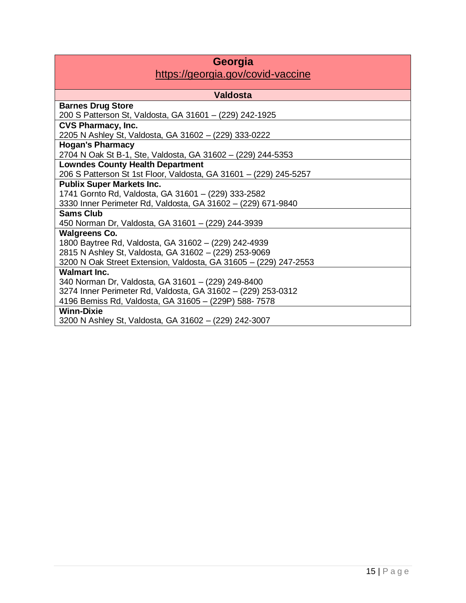## **Georgia**

#### https://georgia.gov/covid-vaccine

| <b>Valdosta</b>                                                   |
|-------------------------------------------------------------------|
| <b>Barnes Drug Store</b>                                          |
| 200 S Patterson St, Valdosta, GA 31601 - (229) 242-1925           |
| <b>CVS Pharmacy, Inc.</b>                                         |
| 2205 N Ashley St, Valdosta, GA 31602 - (229) 333-0222             |
| <b>Hogan's Pharmacy</b>                                           |
| 2704 N Oak St B-1, Ste, Valdosta, GA 31602 - (229) 244-5353       |
| <b>Lowndes County Health Department</b>                           |
| 206 S Patterson St 1st Floor, Valdosta, GA 31601 - (229) 245-5257 |
| <b>Publix Super Markets Inc.</b>                                  |
| 1741 Gornto Rd, Valdosta, GA 31601 - (229) 333-2582               |
| 3330 Inner Perimeter Rd, Valdosta, GA 31602 - (229) 671-9840      |
| <b>Sams Club</b>                                                  |
| 450 Norman Dr, Valdosta, GA 31601 - (229) 244-3939                |
| <b>Walgreens Co.</b>                                              |
| 1800 Baytree Rd, Valdosta, GA 31602 - (229) 242-4939              |
| 2815 N Ashley St, Valdosta, GA 31602 - (229) 253-9069             |
| 3200 N Oak Street Extension, Valdosta, GA 31605 - (229) 247-2553  |
| <b>Walmart Inc.</b>                                               |
| 340 Norman Dr, Valdosta, GA 31601 - (229) 249-8400                |
| 3274 Inner Perimeter Rd, Valdosta, GA 31602 - (229) 253-0312      |
| 4196 Bemiss Rd, Valdosta, GA 31605 - (229P) 588-7578              |
| <b>Winn-Dixie</b>                                                 |
| 3200 N Ashley St, Valdosta, GA 31602 - (229) 242-3007             |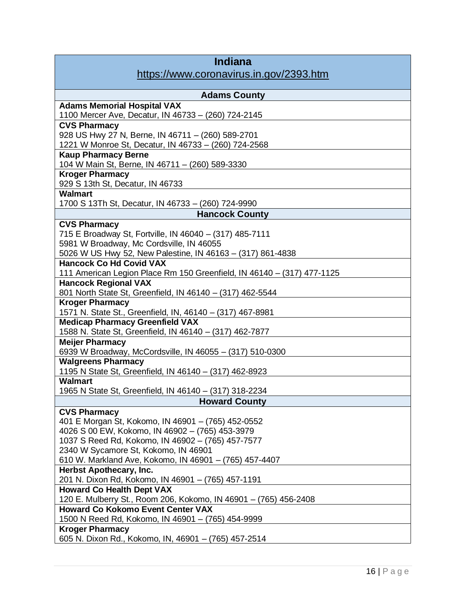| <b>Indiana</b><br>https://www.coronavirus.in.gov/2393.htm                      |
|--------------------------------------------------------------------------------|
| <b>Adams County</b>                                                            |
| <b>Adams Memorial Hospital VAX</b>                                             |
| 1100 Mercer Ave, Decatur, IN 46733 - (260) 724-2145                            |
| <b>CVS Pharmacy</b>                                                            |
| 928 US Hwy 27 N, Berne, IN 46711 - (260) 589-2701                              |
| 1221 W Monroe St, Decatur, IN 46733 - (260) 724-2568                           |
| <b>Kaup Pharmacy Berne</b>                                                     |
| 104 W Main St, Berne, IN 46711 - (260) 589-3330                                |
| <b>Kroger Pharmacy</b>                                                         |
| 929 S 13th St, Decatur, IN 46733                                               |
| <b>Walmart</b>                                                                 |
| 1700 S 13Th St, Decatur, IN 46733 - (260) 724-9990                             |
| <b>Hancock County</b>                                                          |
| <b>CVS Pharmacy</b>                                                            |
| 715 E Broadway St, Fortville, IN 46040 - (317) 485-7111                        |
| 5981 W Broadway, Mc Cordsville, IN 46055                                       |
| 5026 W US Hwy 52, New Palestine, IN 46163 - (317) 861-4838                     |
| <b>Hancock Co Hd Covid VAX</b>                                                 |
| 111 American Legion Place Rm 150 Greenfield, IN 46140 - (317) 477-1125         |
| <b>Hancock Regional VAX</b>                                                    |
| 801 North State St, Greenfield, IN 46140 - (317) 462-5544                      |
| <b>Kroger Pharmacy</b>                                                         |
| 1571 N. State St., Greenfield, IN, 46140 - (317) 467-8981                      |
| <b>Medicap Pharmacy Greenfield VAX</b>                                         |
| 1588 N. State St, Greenfield, IN 46140 - (317) 462-7877                        |
| <b>Meijer Pharmacy</b>                                                         |
| 6939 W Broadway, McCordsville, IN 46055 - (317) 510-0300                       |
| <b>Walgreens Pharmacy</b>                                                      |
| 1195 N State St, Greenfield, IN 46140 - (317) 462-8923                         |
| <b>Walmart</b>                                                                 |
| 1965 N State St, Greenfield, IN 46140 - (317) 318-2234                         |
| <b>Howard County</b>                                                           |
| <b>CVS Pharmacy</b>                                                            |
| 401 E Morgan St, Kokomo, IN 46901 - (765) 452-0552                             |
| 4026 S 00 EW, Kokomo, IN 46902 - (765) 453-3979                                |
| 1037 S Reed Rd, Kokomo, IN 46902 - (765) 457-7577                              |
| 2340 W Sycamore St, Kokomo, IN 46901                                           |
| 610 W. Markland Ave, Kokomo, IN 46901 - (765) 457-4407                         |
| <b>Herbst Apothecary, Inc.</b>                                                 |
| 201 N. Dixon Rd, Kokomo, IN 46901 - (765) 457-1191                             |
| <b>Howard Co Health Dept VAX</b>                                               |
| 120 E. Mulberry St., Room 206, Kokomo, IN 46901 - (765) 456-2408               |
| <b>Howard Co Kokomo Event Center VAX</b>                                       |
| 1500 N Reed Rd, Kokomo, IN 46901 - (765) 454-9999                              |
| <b>Kroger Pharmacy</b><br>605 N. Dixon Rd., Kokomo, IN, 46901 - (765) 457-2514 |
|                                                                                |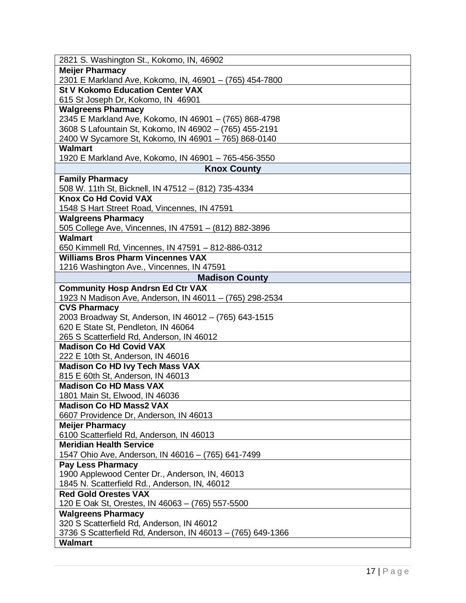| 2821 S. Washington St., Kokomo, IN, 46902                                      |
|--------------------------------------------------------------------------------|
| <b>Meijer Pharmacy</b>                                                         |
| 2301 E Markland Ave, Kokomo, IN, 46901 - (765) 454-7800                        |
| <b>St V Kokomo Education Center VAX</b>                                        |
| 615 St Joseph Dr, Kokomo, IN 46901                                             |
| <b>Walgreens Pharmacy</b>                                                      |
| 2345 E Markland Ave, Kokomo, IN 46901 - (765) 868-4798                         |
| 3608 S Lafountain St, Kokomo, IN 46902 - (765) 455-2191                        |
| 2400 W Sycamore St, Kokomo, IN 46901 - 765) 868-0140                           |
| <b>Walmart</b>                                                                 |
| 1920 E Markland Ave, Kokomo, IN 46901 - 765-456-3550<br><b>Knox County</b>     |
|                                                                                |
| <b>Family Pharmacy</b><br>508 W. 11th St, Bicknell, IN 47512 - (812) 735-4334  |
| <b>Knox Co Hd Covid VAX</b>                                                    |
| 1548 S Hart Street Road, Vincennes, IN 47591                                   |
| <b>Walgreens Pharmacy</b>                                                      |
| 505 College Ave, Vincennes, IN 47591 - (812) 882-3896                          |
| <b>Walmart</b>                                                                 |
| 650 Kimmell Rd, Vincennes, IN 47591 - 812-886-0312                             |
| <b>Williams Bros Pharm Vincennes VAX</b>                                       |
| 1216 Washington Ave., Vincennes, IN 47591                                      |
| <b>Madison County</b>                                                          |
| <b>Community Hosp Andrsn Ed Ctr VAX</b>                                        |
| 1923 N Madison Ave, Anderson, IN 46011 - (765) 298-2534                        |
| <b>CVS Pharmacy</b>                                                            |
| 2003 Broadway St, Anderson, IN 46012 - (765) 643-1515                          |
| 620 E State St, Pendleton, IN 46064                                            |
| 265 S Scatterfield Rd, Anderson, IN 46012                                      |
| <b>Madison Co Hd Covid VAX</b>                                                 |
| 222 E 10th St, Anderson, IN 46016                                              |
| <b>Madison Co HD Ivy Tech Mass VAX</b>                                         |
| 815 E 60th St, Anderson, IN 46013                                              |
| <b>Madison Co HD Mass VAX</b>                                                  |
| 1801 Main St, Elwood, IN 46036                                                 |
| <b>Madison Co HD Mass2 VAX</b>                                                 |
| 6607 Providence Dr, Anderson, IN 46013                                         |
| <b>Meijer Pharmacy</b>                                                         |
| 6100 Scatterfield Rd, Anderson, IN 46013<br><b>Meridian Health Service</b>     |
|                                                                                |
| 1547 Ohio Ave, Anderson, IN 46016 - (765) 641-7499<br><b>Pay Less Pharmacy</b> |
| 1900 Applewood Center Dr., Anderson, IN, 46013                                 |
| 1845 N. Scatterfield Rd., Anderson, IN, 46012                                  |
| <b>Red Gold Orestes VAX</b>                                                    |
| 120 E Oak St, Orestes, IN 46063 - (765) 557-5500                               |
| <b>Walgreens Pharmacy</b>                                                      |
| 320 S Scatterfield Rd, Anderson, IN 46012                                      |
| 3736 S Scatterfield Rd, Anderson, IN 46013 - (765) 649-1366                    |
| <b>Walmart</b>                                                                 |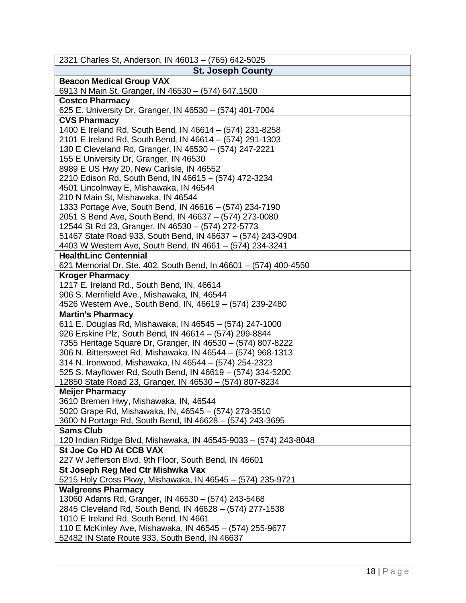| <b>St. Joseph County</b><br><b>Beacon Medical Group VAX</b><br>6913 N Main St, Granger, IN 46530 - (574) 647.1500<br><b>Costco Pharmacy</b><br>625 E. University Dr, Granger, IN 46530 - (574) 401-7004<br><b>CVS Pharmacy</b><br>1400 E Ireland Rd, South Bend, IN 46614 - (574) 231-8258<br>2101 E Ireland Rd, South Bend, IN 46614 - (574) 291-1303<br>130 E Cleveland Rd, Granger, IN 46530 - (574) 247-2221<br>155 E University Dr, Granger, IN 46530<br>8989 E US Hwy 20, New Carlisle, IN 46552<br>2210 Edison Rd, South Bend, IN 46615 - (574) 472-3234<br>4501 Lincolnway E, Mishawaka, IN 46544<br>210 N Main St, Mishawaka, IN 46544<br>1333 Portage Ave, South Bend, IN 46616 - (574) 234-7190<br>2051 S Bend Ave, South Bend, IN 46637 - (574) 273-0080<br>12544 St Rd 23, Granger, IN 46530 - (574) 272-5773<br>51467 State Road 933, South Bend, IN 46637 - (574) 243-0904<br>4403 W Western Ave, South Bend, IN 4661 - (574) 234-3241<br><b>HealthLinc Centennial</b><br>621 Memorial Dr. Ste. 402, South Bend, In 46601 - (574) 400-4550<br><b>Kroger Pharmacy</b><br>1217 E. Ireland Rd., South Bend, IN, 46614<br>906 S. Merrifield Ave., Mishawaka, IN, 46544<br>4526 Western Ave., South Bend, IN, 46619 - (574) 239-2480<br><b>Martin's Pharmacy</b><br>611 E. Douglas Rd, Mishawaka, IN 46545 - (574) 247-1000 |
|---------------------------------------------------------------------------------------------------------------------------------------------------------------------------------------------------------------------------------------------------------------------------------------------------------------------------------------------------------------------------------------------------------------------------------------------------------------------------------------------------------------------------------------------------------------------------------------------------------------------------------------------------------------------------------------------------------------------------------------------------------------------------------------------------------------------------------------------------------------------------------------------------------------------------------------------------------------------------------------------------------------------------------------------------------------------------------------------------------------------------------------------------------------------------------------------------------------------------------------------------------------------------------------------------------------------------------------|
|                                                                                                                                                                                                                                                                                                                                                                                                                                                                                                                                                                                                                                                                                                                                                                                                                                                                                                                                                                                                                                                                                                                                                                                                                                                                                                                                       |
|                                                                                                                                                                                                                                                                                                                                                                                                                                                                                                                                                                                                                                                                                                                                                                                                                                                                                                                                                                                                                                                                                                                                                                                                                                                                                                                                       |
|                                                                                                                                                                                                                                                                                                                                                                                                                                                                                                                                                                                                                                                                                                                                                                                                                                                                                                                                                                                                                                                                                                                                                                                                                                                                                                                                       |
|                                                                                                                                                                                                                                                                                                                                                                                                                                                                                                                                                                                                                                                                                                                                                                                                                                                                                                                                                                                                                                                                                                                                                                                                                                                                                                                                       |
|                                                                                                                                                                                                                                                                                                                                                                                                                                                                                                                                                                                                                                                                                                                                                                                                                                                                                                                                                                                                                                                                                                                                                                                                                                                                                                                                       |
|                                                                                                                                                                                                                                                                                                                                                                                                                                                                                                                                                                                                                                                                                                                                                                                                                                                                                                                                                                                                                                                                                                                                                                                                                                                                                                                                       |
|                                                                                                                                                                                                                                                                                                                                                                                                                                                                                                                                                                                                                                                                                                                                                                                                                                                                                                                                                                                                                                                                                                                                                                                                                                                                                                                                       |
|                                                                                                                                                                                                                                                                                                                                                                                                                                                                                                                                                                                                                                                                                                                                                                                                                                                                                                                                                                                                                                                                                                                                                                                                                                                                                                                                       |
|                                                                                                                                                                                                                                                                                                                                                                                                                                                                                                                                                                                                                                                                                                                                                                                                                                                                                                                                                                                                                                                                                                                                                                                                                                                                                                                                       |
|                                                                                                                                                                                                                                                                                                                                                                                                                                                                                                                                                                                                                                                                                                                                                                                                                                                                                                                                                                                                                                                                                                                                                                                                                                                                                                                                       |
|                                                                                                                                                                                                                                                                                                                                                                                                                                                                                                                                                                                                                                                                                                                                                                                                                                                                                                                                                                                                                                                                                                                                                                                                                                                                                                                                       |
|                                                                                                                                                                                                                                                                                                                                                                                                                                                                                                                                                                                                                                                                                                                                                                                                                                                                                                                                                                                                                                                                                                                                                                                                                                                                                                                                       |
|                                                                                                                                                                                                                                                                                                                                                                                                                                                                                                                                                                                                                                                                                                                                                                                                                                                                                                                                                                                                                                                                                                                                                                                                                                                                                                                                       |
|                                                                                                                                                                                                                                                                                                                                                                                                                                                                                                                                                                                                                                                                                                                                                                                                                                                                                                                                                                                                                                                                                                                                                                                                                                                                                                                                       |
|                                                                                                                                                                                                                                                                                                                                                                                                                                                                                                                                                                                                                                                                                                                                                                                                                                                                                                                                                                                                                                                                                                                                                                                                                                                                                                                                       |
|                                                                                                                                                                                                                                                                                                                                                                                                                                                                                                                                                                                                                                                                                                                                                                                                                                                                                                                                                                                                                                                                                                                                                                                                                                                                                                                                       |
|                                                                                                                                                                                                                                                                                                                                                                                                                                                                                                                                                                                                                                                                                                                                                                                                                                                                                                                                                                                                                                                                                                                                                                                                                                                                                                                                       |
|                                                                                                                                                                                                                                                                                                                                                                                                                                                                                                                                                                                                                                                                                                                                                                                                                                                                                                                                                                                                                                                                                                                                                                                                                                                                                                                                       |
|                                                                                                                                                                                                                                                                                                                                                                                                                                                                                                                                                                                                                                                                                                                                                                                                                                                                                                                                                                                                                                                                                                                                                                                                                                                                                                                                       |
|                                                                                                                                                                                                                                                                                                                                                                                                                                                                                                                                                                                                                                                                                                                                                                                                                                                                                                                                                                                                                                                                                                                                                                                                                                                                                                                                       |
|                                                                                                                                                                                                                                                                                                                                                                                                                                                                                                                                                                                                                                                                                                                                                                                                                                                                                                                                                                                                                                                                                                                                                                                                                                                                                                                                       |
|                                                                                                                                                                                                                                                                                                                                                                                                                                                                                                                                                                                                                                                                                                                                                                                                                                                                                                                                                                                                                                                                                                                                                                                                                                                                                                                                       |
|                                                                                                                                                                                                                                                                                                                                                                                                                                                                                                                                                                                                                                                                                                                                                                                                                                                                                                                                                                                                                                                                                                                                                                                                                                                                                                                                       |
|                                                                                                                                                                                                                                                                                                                                                                                                                                                                                                                                                                                                                                                                                                                                                                                                                                                                                                                                                                                                                                                                                                                                                                                                                                                                                                                                       |
|                                                                                                                                                                                                                                                                                                                                                                                                                                                                                                                                                                                                                                                                                                                                                                                                                                                                                                                                                                                                                                                                                                                                                                                                                                                                                                                                       |
|                                                                                                                                                                                                                                                                                                                                                                                                                                                                                                                                                                                                                                                                                                                                                                                                                                                                                                                                                                                                                                                                                                                                                                                                                                                                                                                                       |
|                                                                                                                                                                                                                                                                                                                                                                                                                                                                                                                                                                                                                                                                                                                                                                                                                                                                                                                                                                                                                                                                                                                                                                                                                                                                                                                                       |
| 926 Erskine Plz, South Bend, IN 46614 - (574) 299-8844                                                                                                                                                                                                                                                                                                                                                                                                                                                                                                                                                                                                                                                                                                                                                                                                                                                                                                                                                                                                                                                                                                                                                                                                                                                                                |
| 7355 Heritage Square Dr, Granger, IN 46530 - (574) 807-8222                                                                                                                                                                                                                                                                                                                                                                                                                                                                                                                                                                                                                                                                                                                                                                                                                                                                                                                                                                                                                                                                                                                                                                                                                                                                           |
| 306 N. Bittersweet Rd, Mishawaka, IN 46544 - (574) 968-1313                                                                                                                                                                                                                                                                                                                                                                                                                                                                                                                                                                                                                                                                                                                                                                                                                                                                                                                                                                                                                                                                                                                                                                                                                                                                           |
| 314 N. Ironwood, Mishawaka, IN 46544 - (574) 254-2323                                                                                                                                                                                                                                                                                                                                                                                                                                                                                                                                                                                                                                                                                                                                                                                                                                                                                                                                                                                                                                                                                                                                                                                                                                                                                 |
| 525 S. Mayflower Rd, South Bend, IN 46619 - (574) 334-5200                                                                                                                                                                                                                                                                                                                                                                                                                                                                                                                                                                                                                                                                                                                                                                                                                                                                                                                                                                                                                                                                                                                                                                                                                                                                            |
| 12850 State Road 23, Granger, IN 46530 - (574) 807-8234                                                                                                                                                                                                                                                                                                                                                                                                                                                                                                                                                                                                                                                                                                                                                                                                                                                                                                                                                                                                                                                                                                                                                                                                                                                                               |
| <b>Meijer Pharmacy</b>                                                                                                                                                                                                                                                                                                                                                                                                                                                                                                                                                                                                                                                                                                                                                                                                                                                                                                                                                                                                                                                                                                                                                                                                                                                                                                                |
| 3610 Bremen Hwy, Mishawaka, IN, 46544                                                                                                                                                                                                                                                                                                                                                                                                                                                                                                                                                                                                                                                                                                                                                                                                                                                                                                                                                                                                                                                                                                                                                                                                                                                                                                 |
| 5020 Grape Rd, Mishawaka, IN, 46545 - (574) 273-3510                                                                                                                                                                                                                                                                                                                                                                                                                                                                                                                                                                                                                                                                                                                                                                                                                                                                                                                                                                                                                                                                                                                                                                                                                                                                                  |
| 3600 N Portage Rd, South Bend, IN 46628 - (574) 243-3695<br><b>Sams Club</b>                                                                                                                                                                                                                                                                                                                                                                                                                                                                                                                                                                                                                                                                                                                                                                                                                                                                                                                                                                                                                                                                                                                                                                                                                                                          |
|                                                                                                                                                                                                                                                                                                                                                                                                                                                                                                                                                                                                                                                                                                                                                                                                                                                                                                                                                                                                                                                                                                                                                                                                                                                                                                                                       |
| 120 Indian Ridge Blvd, Mishawaka, IN 46545-9033 - (574) 243-8048                                                                                                                                                                                                                                                                                                                                                                                                                                                                                                                                                                                                                                                                                                                                                                                                                                                                                                                                                                                                                                                                                                                                                                                                                                                                      |
| St Joe Co HD At CCB VAX                                                                                                                                                                                                                                                                                                                                                                                                                                                                                                                                                                                                                                                                                                                                                                                                                                                                                                                                                                                                                                                                                                                                                                                                                                                                                                               |
| 227 W Jefferson Blvd, 9th Floor, South Bend, IN 46601                                                                                                                                                                                                                                                                                                                                                                                                                                                                                                                                                                                                                                                                                                                                                                                                                                                                                                                                                                                                                                                                                                                                                                                                                                                                                 |
| St Joseph Reg Med Ctr Mishwka Vax<br>5215 Holy Cross Pkwy, Mishawaka, IN 46545 - (574) 235-9721                                                                                                                                                                                                                                                                                                                                                                                                                                                                                                                                                                                                                                                                                                                                                                                                                                                                                                                                                                                                                                                                                                                                                                                                                                       |
| <b>Walgreens Pharmacy</b>                                                                                                                                                                                                                                                                                                                                                                                                                                                                                                                                                                                                                                                                                                                                                                                                                                                                                                                                                                                                                                                                                                                                                                                                                                                                                                             |
| 13060 Adams Rd, Granger, IN 46530 - (574) 243-5468                                                                                                                                                                                                                                                                                                                                                                                                                                                                                                                                                                                                                                                                                                                                                                                                                                                                                                                                                                                                                                                                                                                                                                                                                                                                                    |
| 2845 Cleveland Rd, South Bend, IN 46628 - (574) 277-1538                                                                                                                                                                                                                                                                                                                                                                                                                                                                                                                                                                                                                                                                                                                                                                                                                                                                                                                                                                                                                                                                                                                                                                                                                                                                              |
| 1010 E Ireland Rd, South Bend, IN 4661                                                                                                                                                                                                                                                                                                                                                                                                                                                                                                                                                                                                                                                                                                                                                                                                                                                                                                                                                                                                                                                                                                                                                                                                                                                                                                |
| 110 E McKinley Ave, Mishawaka, IN 46545 - (574) 255-9677                                                                                                                                                                                                                                                                                                                                                                                                                                                                                                                                                                                                                                                                                                                                                                                                                                                                                                                                                                                                                                                                                                                                                                                                                                                                              |
| 52482 IN State Route 933, South Bend, IN 46637                                                                                                                                                                                                                                                                                                                                                                                                                                                                                                                                                                                                                                                                                                                                                                                                                                                                                                                                                                                                                                                                                                                                                                                                                                                                                        |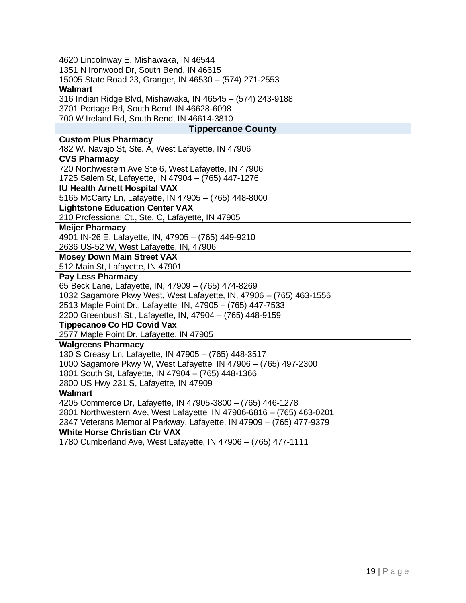| 4620 Lincolnway E, Mishawaka, IN 46544                                                                 |
|--------------------------------------------------------------------------------------------------------|
| 1351 N Ironwood Dr, South Bend, IN 46615                                                               |
| 15005 State Road 23, Granger, IN 46530 - (574) 271-2553                                                |
| <b>Walmart</b>                                                                                         |
| 316 Indian Ridge Blvd, Mishawaka, IN 46545 - (574) 243-9188                                            |
| 3701 Portage Rd, South Bend, IN 46628-6098                                                             |
| 700 W Ireland Rd, South Bend, IN 46614-3810                                                            |
| <b>Tippercanoe County</b>                                                                              |
| <b>Custom Plus Pharmacy</b>                                                                            |
| 482 W. Navajo St, Ste. A, West Lafayette, IN 47906                                                     |
| <b>CVS Pharmacy</b>                                                                                    |
| 720 Northwestern Ave Ste 6, West Lafayette, IN 47906                                                   |
| 1725 Salem St, Lafayette, IN 47904 - (765) 447-1276                                                    |
| <b>IU Health Arnett Hospital VAX</b>                                                                   |
| 5165 McCarty Ln, Lafayette, IN 47905 - (765) 448-8000                                                  |
| <b>Lightstone Education Center VAX</b>                                                                 |
| 210 Professional Ct., Ste. C, Lafayette, IN 47905                                                      |
| <b>Meijer Pharmacy</b>                                                                                 |
| 4901 IN-26 E, Lafayette, IN, 47905 - (765) 449-9210                                                    |
| 2636 US-52 W, West Lafayette, IN, 47906                                                                |
| <b>Mosey Down Main Street VAX</b>                                                                      |
| 512 Main St, Lafayette, IN 47901                                                                       |
| <b>Pay Less Pharmacy</b>                                                                               |
| 65 Beck Lane, Lafayette, IN, 47909 - (765) 474-8269                                                    |
| 1032 Sagamore Pkwy West, West Lafayette, IN, 47906 - (765) 463-1556                                    |
| 2513 Maple Point Dr., Lafayette, IN, 47905 - (765) 447-7533                                            |
| 2200 Greenbush St., Lafayette, IN, 47904 - (765) 448-9159                                              |
| <b>Tippecanoe Co HD Covid Vax</b>                                                                      |
| 2577 Maple Point Dr, Lafayette, IN 47905                                                               |
| <b>Walgreens Pharmacy</b>                                                                              |
| 130 S Creasy Ln, Lafayette, IN 47905 - (765) 448-3517                                                  |
| 1000 Sagamore Pkwy W, West Lafayette, IN 47906 - (765) 497-2300                                        |
| 1801 South St, Lafayette, IN 47904 - (765) 448-1366                                                    |
| 2800 US Hwy 231 S, Lafayette, IN 47909                                                                 |
| <b>Walmart</b>                                                                                         |
| 4205 Commerce Dr, Lafayette, IN 47905-3800 - (765) 446-1278                                            |
| 2801 Northwestern Ave, West Lafayette, IN 47906-6816 - (765) 463-0201                                  |
| 2347 Veterans Memorial Parkway, Lafayette, IN 47909 - (765) 477-9379                                   |
| <b>White Horse Christian Ctr VAX</b><br>1780 Cumberland Ave, West Lafayette, IN 47906 - (765) 477-1111 |
|                                                                                                        |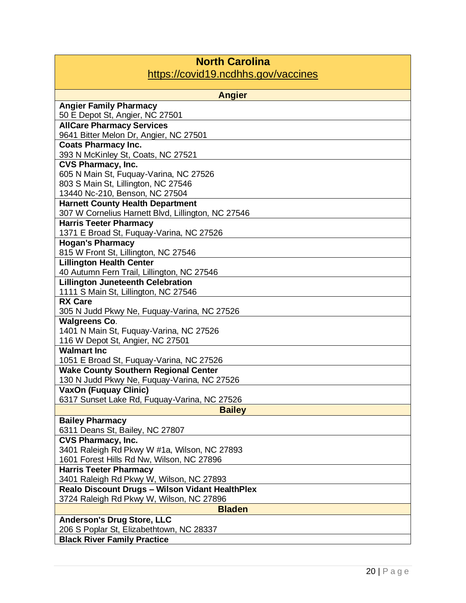| <b>North Carolina</b><br>https://covid19.ncdhhs.gov/vaccines                                       |
|----------------------------------------------------------------------------------------------------|
| <b>Angier</b>                                                                                      |
| <b>Angier Family Pharmacy</b>                                                                      |
| 50 E Depot St, Angier, NC 27501                                                                    |
| <b>AllCare Pharmacy Services</b>                                                                   |
| 9641 Bitter Melon Dr, Angier, NC 27501                                                             |
| <b>Coats Pharmacy Inc.</b>                                                                         |
| 393 N McKinley St, Coats, NC 27521<br><b>CVS Pharmacy, Inc.</b>                                    |
| 605 N Main St, Fuquay-Varina, NC 27526                                                             |
| 803 S Main St, Lillington, NC 27546                                                                |
| 13440 Nc-210, Benson, NC 27504                                                                     |
| <b>Harnett County Health Department</b>                                                            |
| 307 W Cornelius Harnett Blvd, Lillington, NC 27546                                                 |
| <b>Harris Teeter Pharmacy</b>                                                                      |
| 1371 E Broad St, Fuquay-Varina, NC 27526                                                           |
| <b>Hogan's Pharmacy</b>                                                                            |
| 815 W Front St, Lillington, NC 27546                                                               |
| <b>Lillington Health Center</b>                                                                    |
| 40 Autumn Fern Trail, Lillington, NC 27546<br><b>Lillington Juneteenth Celebration</b>             |
| 1111 S Main St, Lillington, NC 27546                                                               |
| <b>RX Care</b>                                                                                     |
| 305 N Judd Pkwy Ne, Fuquay-Varina, NC 27526                                                        |
| <b>Walgreens Co.</b>                                                                               |
| 1401 N Main St, Fuquay-Varina, NC 27526                                                            |
| 116 W Depot St, Angier, NC 27501                                                                   |
| <b>Walmart Inc.</b>                                                                                |
| 1051 E Broad St, Fuquay-Varina, NC 27526                                                           |
| <b>Wake County Southern Regional Center</b>                                                        |
| 130 N Judd Pkwy Ne, Fuquay-Varina, NC 27526<br><b>VaxOn (Fuquay Clinic)</b>                        |
| 6317 Sunset Lake Rd, Fuquay-Varina, NC 27526                                                       |
| <b>Bailey</b>                                                                                      |
| <b>Bailey Pharmacy</b>                                                                             |
| 6311 Deans St, Bailey, NC 27807                                                                    |
| CVS Pharmacy, Inc.                                                                                 |
| 3401 Raleigh Rd Pkwy W #1a, Wilson, NC 27893                                                       |
| 1601 Forest Hills Rd Nw, Wilson, NC 27896                                                          |
| <b>Harris Teeter Pharmacy</b>                                                                      |
| 3401 Raleigh Rd Pkwy W, Wilson, NC 27893                                                           |
| <b>Realo Discount Drugs - Wilson Vidant HealthPlex</b><br>3724 Raleigh Rd Pkwy W, Wilson, NC 27896 |
| <b>Bladen</b>                                                                                      |
| <b>Anderson's Drug Store, LLC</b>                                                                  |
| 206 S Poplar St, Elizabethtown, NC 28337                                                           |
| <b>Black River Family Practice</b>                                                                 |

 $\Box$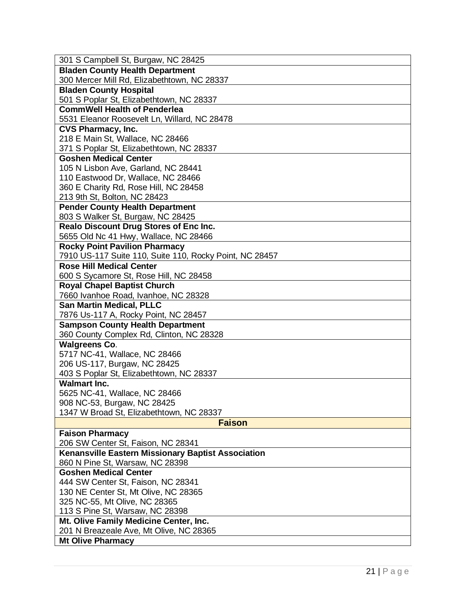| 301 S Campbell St, Burgaw, NC 28425                                                        |
|--------------------------------------------------------------------------------------------|
| <b>Bladen County Health Department</b>                                                     |
| 300 Mercer Mill Rd, Elizabethtown, NC 28337                                                |
| <b>Bladen County Hospital</b>                                                              |
| 501 S Poplar St, Elizabethtown, NC 28337                                                   |
| <b>CommWell Health of Penderlea</b>                                                        |
| 5531 Eleanor Roosevelt Ln, Willard, NC 28478                                               |
| <b>CVS Pharmacy, Inc.</b>                                                                  |
| 218 E Main St, Wallace, NC 28466                                                           |
| 371 S Poplar St, Elizabethtown, NC 28337                                                   |
| <b>Goshen Medical Center</b>                                                               |
| 105 N Lisbon Ave, Garland, NC 28441                                                        |
| 110 Eastwood Dr, Wallace, NC 28466                                                         |
| 360 E Charity Rd, Rose Hill, NC 28458                                                      |
| 213 9th St, Bolton, NC 28423                                                               |
| <b>Pender County Health Department</b>                                                     |
| 803 S Walker St, Burgaw, NC 28425                                                          |
| Realo Discount Drug Stores of Enc Inc.                                                     |
| 5655 Old Nc 41 Hwy, Wallace, NC 28466                                                      |
| <b>Rocky Point Pavilion Pharmacy</b>                                                       |
| 7910 US-117 Suite 110, Suite 110, Rocky Point, NC 28457<br><b>Rose Hill Medical Center</b> |
|                                                                                            |
| 600 S Sycamore St, Rose Hill, NC 28458                                                     |
| <b>Royal Chapel Baptist Church</b><br>7660 Ivanhoe Road, Ivanhoe, NC 28328                 |
|                                                                                            |
|                                                                                            |
| <b>San Martin Medical, PLLC</b>                                                            |
| 7876 Us-117 A, Rocky Point, NC 28457                                                       |
| <b>Sampson County Health Department</b>                                                    |
| 360 County Complex Rd, Clinton, NC 28328                                                   |
| <b>Walgreens Co.</b>                                                                       |
| 5717 NC-41, Wallace, NC 28466                                                              |
| 206 US-117, Burgaw, NC 28425                                                               |
| 403 S Poplar St, Elizabethtown, NC 28337<br><b>Walmart Inc.</b>                            |
|                                                                                            |
| 5625 NC-41, Wallace, NC 28466                                                              |
| 908 NC-53, Burgaw, NC 28425<br>1347 W Broad St, Elizabethtown, NC 28337                    |
| <b>Faison</b>                                                                              |
|                                                                                            |
| <b>Faison Pharmacy</b><br>206 SW Center St, Faison, NC 28341                               |
| <b>Kenansville Eastern Missionary Baptist Association</b>                                  |
| 860 N Pine St, Warsaw, NC 28398                                                            |
| <b>Goshen Medical Center</b>                                                               |
| 444 SW Center St, Faison, NC 28341                                                         |
| 130 NE Center St, Mt Olive, NC 28365                                                       |
| 325 NC-55, Mt Olive, NC 28365                                                              |
| 113 S Pine St, Warsaw, NC 28398                                                            |
| Mt. Olive Family Medicine Center, Inc.                                                     |
| 201 N Breazeale Ave, Mt Olive, NC 28365<br><b>Mt Olive Pharmacy</b>                        |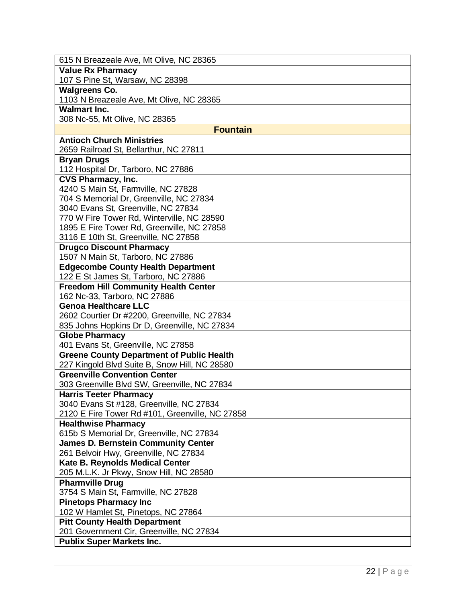| 615 N Breazeale Ave, Mt Olive, NC 28365                                            |
|------------------------------------------------------------------------------------|
| <b>Value Rx Pharmacy</b>                                                           |
| 107 S Pine St, Warsaw, NC 28398                                                    |
| <b>Walgreens Co.</b>                                                               |
| 1103 N Breazeale Ave, Mt Olive, NC 28365                                           |
| <b>Walmart Inc.</b>                                                                |
| 308 Nc-55, Mt Olive, NC 28365                                                      |
| <b>Fountain</b>                                                                    |
| <b>Antioch Church Ministries</b>                                                   |
| 2659 Railroad St, Bellarthur, NC 27811                                             |
| <b>Bryan Drugs</b>                                                                 |
| 112 Hospital Dr, Tarboro, NC 27886                                                 |
| <b>CVS Pharmacy, Inc.</b>                                                          |
| 4240 S Main St, Farmville, NC 27828                                                |
| 704 S Memorial Dr, Greenville, NC 27834                                            |
| 3040 Evans St, Greenville, NC 27834                                                |
| 770 W Fire Tower Rd, Winterville, NC 28590                                         |
| 1895 E Fire Tower Rd, Greenville, NC 27858<br>3116 E 10th St, Greenville, NC 27858 |
| <b>Drugco Discount Pharmacy</b>                                                    |
| 1507 N Main St, Tarboro, NC 27886                                                  |
| <b>Edgecombe County Health Department</b>                                          |
| 122 E St James St, Tarboro, NC 27886                                               |
| <b>Freedom Hill Community Health Center</b>                                        |
| 162 Nc-33, Tarboro, NC 27886                                                       |
| <b>Genoa Healthcare LLC</b>                                                        |
| 2602 Courtier Dr #2200, Greenville, NC 27834                                       |
| 835 Johns Hopkins Dr D, Greenville, NC 27834                                       |
| <b>Globe Pharmacy</b>                                                              |
| 401 Evans St, Greenville, NC 27858                                                 |
| <b>Greene County Department of Public Health</b>                                   |
| 227 Kingold Blvd Suite B, Snow Hill, NC 28580                                      |
| <b>Greenville Convention Center</b>                                                |
| 303 Greenville Blvd SW, Greenville, NC 27834                                       |
| <b>Harris Teeter Pharmacy</b>                                                      |
| 3040 Evans St #128, Greenville, NC 27834                                           |
| 2120 E Fire Tower Rd #101, Greenville, NC 27858                                    |
| <b>Healthwise Pharmacy</b>                                                         |
| 615b S Memorial Dr, Greenville, NC 27834                                           |
| <b>James D. Bernstein Community Center</b>                                         |
| 261 Belvoir Hwy, Greenville, NC 27834                                              |
| Kate B. Reynolds Medical Center                                                    |
| 205 M.L.K. Jr Pkwy, Snow Hill, NC 28580<br><b>Pharmville Drug</b>                  |
| 3754 S Main St, Farmville, NC 27828                                                |
| <b>Pinetops Pharmacy Inc</b>                                                       |
| 102 W Hamlet St, Pinetops, NC 27864                                                |
| <b>Pitt County Health Department</b>                                               |
| 201 Government Cir, Greenville, NC 27834                                           |
| <b>Publix Super Markets Inc.</b>                                                   |
|                                                                                    |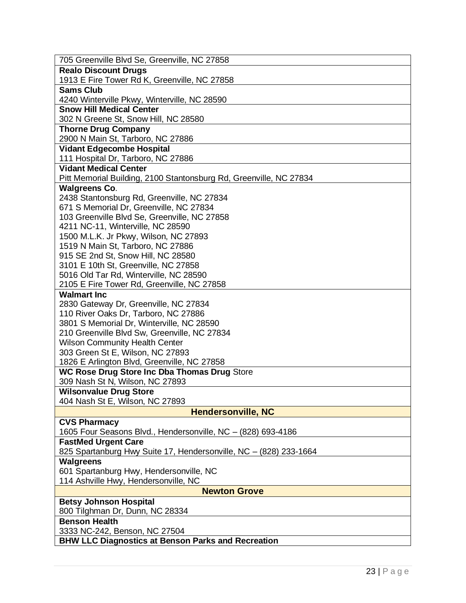| 705 Greenville Blvd Se, Greenville, NC 27858                       |
|--------------------------------------------------------------------|
| <b>Realo Discount Drugs</b>                                        |
| 1913 E Fire Tower Rd K, Greenville, NC 27858                       |
| <b>Sams Club</b>                                                   |
| 4240 Winterville Pkwy, Winterville, NC 28590                       |
| <b>Snow Hill Medical Center</b>                                    |
| 302 N Greene St, Snow Hill, NC 28580                               |
| <b>Thorne Drug Company</b>                                         |
| 2900 N Main St, Tarboro, NC 27886                                  |
| <b>Vidant Edgecombe Hospital</b>                                   |
| 111 Hospital Dr, Tarboro, NC 27886                                 |
| <b>Vidant Medical Center</b>                                       |
| Pitt Memorial Building, 2100 Stantonsburg Rd, Greenville, NC 27834 |
| <b>Walgreens Co.</b><br>2438 Stantonsburg Rd, Greenville, NC 27834 |
| 671 S Memorial Dr, Greenville, NC 27834                            |
| 103 Greenville Blvd Se, Greenville, NC 27858                       |
| 4211 NC-11, Winterville, NC 28590                                  |
| 1500 M.L.K. Jr Pkwy, Wilson, NC 27893                              |
| 1519 N Main St, Tarboro, NC 27886                                  |
| 915 SE 2nd St, Snow Hill, NC 28580                                 |
| 3101 E 10th St, Greenville, NC 27858                               |
| 5016 Old Tar Rd, Winterville, NC 28590                             |
| 2105 E Fire Tower Rd, Greenville, NC 27858                         |
| <b>Walmart Inc</b>                                                 |
| 2830 Gateway Dr, Greenville, NC 27834                              |
| 110 River Oaks Dr, Tarboro, NC 27886                               |
| 3801 S Memorial Dr, Winterville, NC 28590                          |
| 210 Greenville Blvd Sw, Greenville, NC 27834                       |
| <b>Wilson Community Health Center</b>                              |
| 303 Green St E, Wilson, NC 27893                                   |
| 1826 E Arlington Blvd, Greenville, NC 27858                        |
| <b>WC Rose Drug Store Inc Dba Thomas Drug Store</b>                |
| 309 Nash St N, Wilson, NC 27893                                    |
| <b>Wilsonvalue Drug Store</b><br>404 Nash St E, Wilson, NC 27893   |
| <b>Hendersonville, NC</b>                                          |
| <b>CVS Pharmacy</b>                                                |
| 1605 Four Seasons Blvd., Hendersonville, NC - (828) 693-4186       |
| <b>FastMed Urgent Care</b>                                         |
| 825 Spartanburg Hwy Suite 17, Hendersonville, NC - (828) 233-1664  |
| <b>Walgreens</b>                                                   |
| 601 Spartanburg Hwy, Hendersonville, NC                            |
| 114 Ashville Hwy, Hendersonville, NC                               |
| <b>Newton Grove</b>                                                |
| <b>Betsy Johnson Hospital</b>                                      |
| 800 Tilghman Dr, Dunn, NC 28334                                    |
| <b>Benson Health</b>                                               |
| 3333 NC-242, Benson, NC 27504                                      |
| <b>BHW LLC Diagnostics at Benson Parks and Recreation</b>          |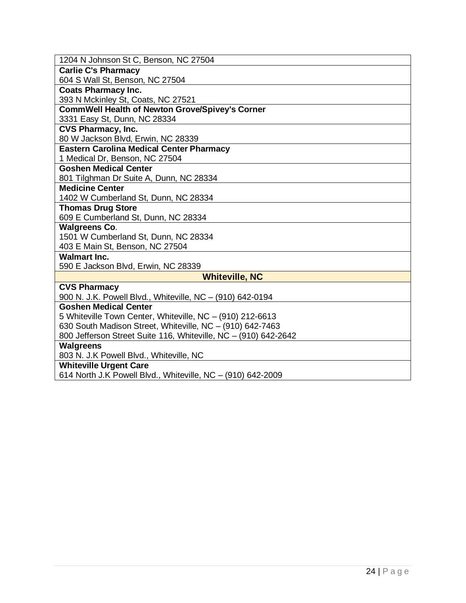| 1204 N Johnson St C, Benson, NC 27504                           |
|-----------------------------------------------------------------|
| <b>Carlie C's Pharmacy</b>                                      |
| 604 S Wall St, Benson, NC 27504                                 |
| <b>Coats Pharmacy Inc.</b>                                      |
| 393 N Mckinley St, Coats, NC 27521                              |
| <b>CommWell Health of Newton Grove/Spivey's Corner</b>          |
| 3331 Easy St, Dunn, NC 28334                                    |
| <b>CVS Pharmacy, Inc.</b>                                       |
| 80 W Jackson Blvd, Erwin, NC 28339                              |
| <b>Eastern Carolina Medical Center Pharmacy</b>                 |
| 1 Medical Dr, Benson, NC 27504                                  |
| <b>Goshen Medical Center</b>                                    |
| 801 Tilghman Dr Suite A, Dunn, NC 28334                         |
| <b>Medicine Center</b>                                          |
| 1402 W Cumberland St, Dunn, NC 28334                            |
| <b>Thomas Drug Store</b>                                        |
| 609 E Cumberland St, Dunn, NC 28334                             |
| <b>Walgreens Co.</b>                                            |
| 1501 W Cumberland St, Dunn, NC 28334                            |
| 403 E Main St, Benson, NC 27504                                 |
| <b>Walmart Inc.</b>                                             |
| 590 E Jackson Blvd, Erwin, NC 28339                             |
| <b>Whiteville, NC</b>                                           |
| <b>CVS Pharmacy</b>                                             |
| 900 N. J.K. Powell Blvd., Whiteville, NC - (910) 642-0194       |
| <b>Goshen Medical Center</b>                                    |
| 5 Whiteville Town Center, Whiteville, NC - (910) 212-6613       |
| 630 South Madison Street, Whiteville, NC - (910) 642-7463       |
| 800 Jefferson Street Suite 116, Whiteville, NC - (910) 642-2642 |
| <b>Walgreens</b>                                                |
| 803 N. J.K Powell Blvd., Whiteville, NC                         |
| <b>Whiteville Urgent Care</b>                                   |
| 614 North J.K Powell Blvd., Whiteville, NC - (910) 642-2009     |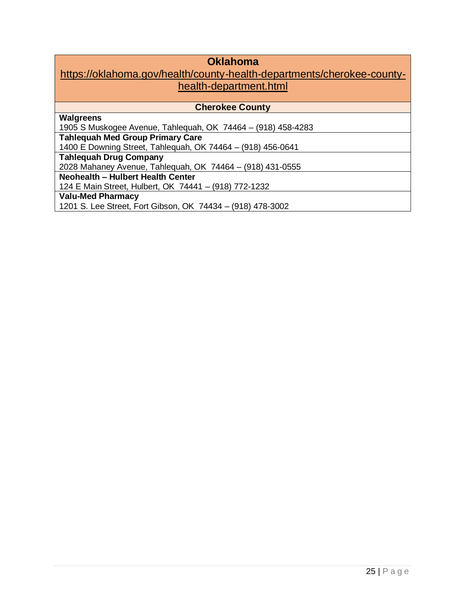# **Oklahoma**

### https://oklahoma.gov/health/county-health-departments/cherokee-countyhealth-department.html

| <b>Cherokee County</b>                                       |
|--------------------------------------------------------------|
| <b>Walgreens</b>                                             |
| 1905 S Muskogee Avenue, Tahlequah, OK 74464 - (918) 458-4283 |
| <b>Tahlequah Med Group Primary Care</b>                      |
| 1400 E Downing Street, Tahlequah, OK 74464 - (918) 456-0641  |
| <b>Tahlequah Drug Company</b>                                |
| 2028 Mahaney Avenue, Tahlequah, OK 74464 - (918) 431-0555    |
| <b>Neohealth - Hulbert Health Center</b>                     |
| 124 E Main Street, Hulbert, OK 74441 - (918) 772-1232        |
| <b>Valu-Med Pharmacy</b>                                     |
| 1201 S. Lee Street, Fort Gibson, OK 74434 - (918) 478-3002   |
|                                                              |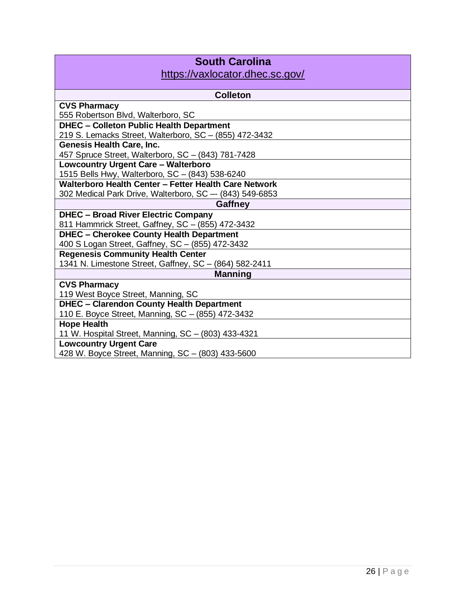| <b>South Carolina</b>                                    |
|----------------------------------------------------------|
| https://vaxlocator.dhec.sc.gov/                          |
|                                                          |
| <b>Colleton</b>                                          |
| <b>CVS Pharmacy</b>                                      |
| 555 Robertson Blvd, Walterboro, SC                       |
| <b>DHEC - Colleton Public Health Department</b>          |
| 219 S. Lemacks Street, Walterboro, SC - (855) 472-3432   |
| <b>Genesis Health Care, Inc.</b>                         |
| 457 Spruce Street, Walterboro, SC - (843) 781-7428       |
| <b>Lowcountry Urgent Care - Walterboro</b>               |
| 1515 Bells Hwy, Walterboro, SC - (843) 538-6240          |
| Walterboro Health Center - Fetter Health Care Network    |
| 302 Medical Park Drive, Walterboro, SC -- (843) 549-6853 |
| Gaffney                                                  |
| <b>DHEC - Broad River Electric Company</b>               |
| 811 Hammrick Street, Gaffney, SC - (855) 472-3432        |
| <b>DHEC - Cherokee County Health Department</b>          |
| 400 S Logan Street, Gaffney, SC - (855) 472-3432         |
| <b>Regenesis Community Health Center</b>                 |
| 1341 N. Limestone Street, Gaffney, SC - (864) 582-2411   |
| <b>Manning</b>                                           |
| <b>CVS Pharmacy</b>                                      |
| 119 West Boyce Street, Manning, SC                       |
| <b>DHEC - Clarendon County Health Department</b>         |
| 110 E. Boyce Street, Manning, SC - (855) 472-3432        |
| <b>Hope Health</b>                                       |
| 11 W. Hospital Street, Manning, SC - (803) 433-4321      |
| <b>Lowcountry Urgent Care</b>                            |
| 428 W. Boyce Street, Manning, SC - (803) 433-5600        |